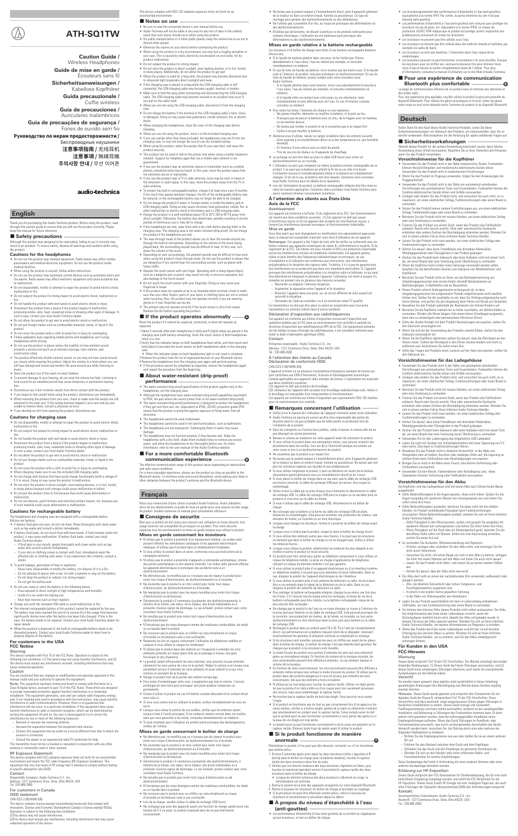**Guide de mise en garde /**  Écouteurs sans fil

**Sicherheitsanweisungen /**  Kabellose Kopfhörer

**Guida precauzionale /**  Cuffie wireless

**Guía de precauciones /**  Auriculares inalámbricos

- **ATH-SQ1TW**
- **Caution Guide /**  Wireless Headphones

**Guia de precauções de segurança /**  Fones de ouvido sem fio

**Руководство по мерам предосторожности /**  Беспроводные наушники **注意事项指南 /** 无线耳机 **注意事項 /** 無線耳機 **주의사항 안내 /** 무선 이어폰

### audio-technica

### **English**

Thank you for purchasing this Audio-Technica product. Before using the product, read<br>through this caution guide to ensure that you will use the product correctly. Please keep this caddon galacto<br>keep this manual for future re

- Safety precautions –
- Although this product was designed to be used safely, failing to use it correctly may result in an accident. To ensure safety, observe all warnings and cautions while using

# the product. **Cautions for the headphones**

- Do not use the product near medical equipment. Radio waves may affect cardiac pacemakers and medical electronic equipment. Do not use the product inside
- medical facilities. When using the product in aircraft, follow airline instructions.
- Do not use the product near automatic control devices such as automatic doors and fire alarms. Radio waves may affect electronic equipment and cause accidents due to malfunction. • Do not disassemble, modify or attempt to repair the product to avoid electric shock,
- malfunction or fire. • Do not subject the product to strong impact to avoid electric shock, malfunction or
- fire. Do not handle the product with wet hands to avoid electric shock or injury. • Disconnect the product from a device if the product begins to malfunction,<br>producing smoke, odor, heat, unwanted noise or showing other signs of damage. In<br>such a case, contact your local Audio-Technica dealer.<br>• Do not
- Do not put foreign matter such as combustible materials, metal, or liquid in the
- product. Do not cover the product with a cloth to avoid fire or injury by overheating.
- Follow applicable laws regarding mobile phone and headphone use if using
- 
- headphones while driving.<br>• Do not use the product in places where the inability to hear ambient sound<br>presents a serious risk (such as at railroad crossings, train stations, and<br>construction stes).<br>• The product effective
- Store the product out of the reach of small children.
- To prevent damage to your hearing, do not raise the volume too high. Listening to loud sound for an extended period may cause temporary or permanent hearing
- loss. Discontinue use if skin irritation results from direct contact with the product. • If you begin to feel unwell while using the product, discontinue use immediately. .<br>noving the product from your ears, check to make sure the eartips are still attached to the main unit. If the eartips become lodged in your ears and you are
- unable to remove them, consult a physician at once. If you develop an itch from wearing the product, discontinue use.

- **Cautions for rechargeable battery**<br>The headphones and charging case are equipped with a rechargeable battery
- 
- 
- The headphones and charging case are equipped with a rechargeable battery<br>(lithium-ion battery).<br>• If battery fluid gets into eyes, do not rub them. Rinse thoroughly with clean water<br>such as tap water and consult a doctor
- If fluid gets in your mouth, gargle thoroughly with clean water such as tap water and consult a doctor immediately. – If your skin or clothing comes in contact with fluid, immediately wash the affected skin or clothing with water. If you experience skin irritation, consult a doctor.
- 
- To avoid leakage, generation of heat or explosion: Never heat, disassemble or modify the battery, nor dispose of it in a fire. – Do not attempt to pierce with a nail, hit with a hammer or step on the battery.
- Do not drop the product or subject it to strong impact. – Do not get the battery wet. • Do not use, leave or store the battery in the following places
- Area exposed to direct sunlight or high temperatures and humidity Inside of a car under the blazing sun Near heat sources such as heat registers
- 
- harge only with the included USB cable to avoid malfunction or fire • The internal rechargeable battery of this product cannot be replaced by the user.<br>The battery may have reached the end of its service life if the usage time becomes<br>significantly shorter even after the battery has been f
- grading, was cased of the battery new ween long charged. It this is the<br>ise, the battery needs to be repaired. Contact your local Audio-Technica dealer for air details • When the product is disposed of, the built-in rechargeable battery needs to be
- 

discarded properly. Contact your local Audio-Technica dealer to learn how to properly dispose of the ba

### **Cautions for charging case**

Note: This equipment has been tested and found to comply with the limits for Class B digital device, pursuant to part 15 of the FCC Rules. These limits are designed to provide reasonable protection against harmful interfer menciones will not occur in a particular motaliation. It this equipment at turning the equipment off and on, the user is encouraged to try to correct the interference by one or more of the following measures: – Reorient or relocate the receiving antenna.

- Do not disassemble, modify or attempt to repair the product to avoid electric shock, malfunction or fire.
- Do not subject the product to strong impact to avoid electric shock, malfunction or
- fire. Do not handle the product with wet hands to avoid electric shock or injury.
- Disconnect the product from a device if the product begins to malfunction, producing smoke, odor, heat, unwanted noise or showing other signs of damage. In such a case, contact your local Audio-Technica dealer.
- Do not allow the product to get wet to avoid electric shock or malfunction. • Do not put foreign matter such as combustible materials, metal, or liquid in the
- product. Do not cover the product with a cloth to avoid fire or injury by overheating.
- 
- When charging, make sure to use the included USB charging cable. Do not charge with devices that have quick-charge functionality (with a voltage of 5 V or more). Doing so may cause the product to malfunction.
- 
- Do not store the product in direct sunlight, near heating devices, or in hot, humid,<br>or dusty places because such storage could cause malfunction or defect.<br>● Do not put the product close to fire because that could caus
- malfunction. Do not use benzine, paint thinners and electrical contact cleaner, etc. because use of such material could cause deformation or malfunction.

This transmitter must not be co-located or operated in conjunction with any other antenna or transmitter used in other systems.

This device complies with FCC radiation exposure limits set forth for an uncontrolled<br>environment and meets the FCC radio frequency (RF) Exposure Guidelines. This<br>equipment has very low levels of RF energy that is deemed t of specific absorption rate (SAR).

- This device complies with RSS-102 radiation exposure limits set forth for an uncontrolled environment.
- **Notes on use**  $\frac{1}{\sqrt{2\pi}}$  **Notes on use**  $\frac{1}{\sqrt{2\pi}}$  *notes in a manual before use*
- Be sure to read the connected device's user manual before use.<br>● Audio-Technica will not be liable in any way for any loss of data in the unlikely<br>→ event that such losses should occur while using the product.<br>● On publ m paona transporta<br>isturb other neonle
- Minimize the volume on your device before connecting the product.
- When using the product in a dry environment, you may feel a tingling sensation in your ears. This is caused by static electricity accumulated on your body, not by product malfunction. • Do not subject the product to strong impact.
- Do not store the product in direct sunlight, near heating devices, or in hot, humid, or dusty places. Additionally, do not allow the product to get wet.
- When the product is used for a long time, the product may become discolored due to ultraviolet light (especially direct sunlight) and wear.
- If the charging case is placed in a bag while the USB charging cable is still the charging cable may become caught, severed, or broken.<br>• Make sure to hold the plug when connecting and disconnecting the USB charging cabl
- 
- Do not charge the battery if the terminal of the USB charging cable is bent, loose, or damaged. Doing so may cause heat generation, smoke emission, fire or electric
- shock. When charging the headphones, close the cover of the charging case before charging. • When you are not using the product, store it in the included charging case.
- If you use eartips other than those included, the headphones may not fit into the charging case, or may not charge. Be sure to use the included eartips.
- When using the product, select the eartips that fit your ears best, and wear the product securely.
- This product can be used to talk on the phone only when using a mobile telephone network. Support for telephony apps that use a mobile data network is not
- 
- guaranteed.<br>• If you use the product near an electronic device or transmitter (such as a mobile<br>• phone), unwanted noise may be heard. In this case, move the product away from<br>the electronic device or transmitter.<br>• If yo
- adio antenna ● To protect the built-in rechargeable battery, charge it at least once every 6 months.<br>If too much time passes between charges, the life of the rechargeable battery may<br>be reduced, or the rechargeable battery may no long
- 
- Do not change the product if water or foreign matter is inside the battery jackor<br>USB charging cable. Doing so may cause corrosion, heat generation, smoke, fire, or<br>other malfunction or electric shock in the battery jac
- 
- The hear-through mode of the product allows you to hear the sounds around you<br>through the built-in microphone. Depending on the volume of the music being<br>played back, the surrounding sounds may be difficult to hear. In t
- Depending on your surroundings, the ambient sounds may be difficult to hear even<br>when using the product's hear-through mode. Do not use the product in places that<br>are dangerous if you cannot hear the surrounding sounds,
- heavy traffic. Operate the touch sensor with one finger. Operating with a sharp-tipped object, such as a ballpoint pen or pencil, may result not only in incorrect operation, but also damage to the touch sensor.
- Do not touch the touch sensor with your fingertips. Doing so may cause your
- fingernail to break. • If the product does not operate at all or as intended when touched, check to make
- sure that your other fingers, parts of your hand, or clothing items are not in contact<br>when touching. Also, the product may not operate correctly if you are wearing<br>gloves or if your fingertips are too dry.<br>• The product m
- 

### **For customers in the USA FCC Notice**

### Warning

This device complies with Part 15 of the FCC Rules. Operation is subject to the following two conditions: (1) This device may not cause harmful interference, and (2) this device must accept any interference received, including interference that may cause undesired operation.

### Caution

.<br>Utioned that any changes or modifications not expressly approved in this Four are cannot out and manual could void your authority to operate this equipment.<br> **Note:** This equipment has been tested and found to comply with the limits for a

### ■ **About water-resistant (drip-proof) performance**

- 
- The water-resistant (drip-proof) specification of this product applies only to the<br>headphones, not the charging case.<br>A Marbough the headphones have water-resistant (drip-proof) capabilities equivalent<br>to IPX4, the part wh
- The water-resistant (drip-proof) performance is designed to protect the headphones<br>if they get wet from rain, etc. (equivalent to IPX4). JIS/IEC protection grade IPX4<br>means that the product is protected against exposure to
- directions.<br>• The headphones cannot be used underwater.<br>• The headphones cannot be used in hot and humid places, such as bathrooms.<br>• The headphones are not waterproof. Submerging them in water may cause
- amage
- The headphones may not function properly if they become wet. Wipe the<br>headphones with a dry cloth, shake them multiple times to remove any excess<br>water, and allow the headphones to dry thoroughly before use. For more<br>inf
- **For a more comfortable Bluetooth communication experience**

- 
- 
- Increase the separation between the equipment and receiver. Connect the equipment into an outlet on a circuit different from that to which the
- receiver is connected. Consult the dealer or an experienced radio/TV technician for help.

The effective communication range of this product varies depending on obstruction<br>and radio wave conditions and radio wave conditions. For a more enjoyable experience, please use the product as close as possible to the

### RF Exposure Statement

Bien que ce produit ait été conçu pour assurer une utilisation en toute sécurité, tout<br>usage incorrect est susceptible de provoquer un accident. Pour votre sécurité<br>respectez tous les avertissements et mises en garde lorsq **Mises en garde concernant les écouteurs**

• Wutliesz pas le produit à proximité d'un équipement médical. Les ondes radio<br>peuvent affecter les stimulateurs cardiaques et les appareils électroniques<br>médicaux. N'utilisaz pas le produit dans un établissement hospitali

Contact: Responsible Company: Audio-Technica U.S., Inc. Address: 1221 Commerce Drive, Stow, Ohio 44224, USA Tel: 330-686-2600

### For customers in Canada

### ISED statement

### CAN ICES-3 (B)/NMB-3(B)

This device contains licence-exempt transmitter(s)/receiver(s) that comply with<br>Innovation, Science and Economic Development Canad's licence-exempt RSS(s).<br>Operation is subject to the following two conditions:<br>(1)This devi

- 
- 
- e as le produit avec un chiffon car c d'incendie ou de blessure suite à une surchauffe.
- Respectez les lois en vigueur concernant l'utilisation de téléphones mobiles et casques si vous utilisez le casque en conduisant.
- N'utilisez pas le produit dans des endroits où l'incapacité à entendre les sons
- ambiants présente un risque grave (tels qu'un passage à niveau, une gare<br>ferroviaire et des chantiers).<br>• Le produit isolant efficacement les sons externes, vous pourriez ne pas entendre<br>clairement les sons autour de vous
- enceure en ecodum de la masique.<br>
Rangez le produit hors de la portée des enfants en bas âge.<br>
Pour éviter d'endommager votre ouïe, n'augmentez pas tro
- Pour éviter d'endommager votre ouïe, n'augmentez pas trop le volume. L'écoute prolongée de sons forts peut provoquer une perte auditive temporaire ou prolongée de<br>permanente.<br>Com
- Cessez d'utiliser le produit en cas d'irritation cutanée découlant d'un contact direct
- avec celui-ci. Si vous vous sentez mal en utilisant le produit, arrêtez immédiatement de vous en
- servir.<br>• Lorsque vous retirez le produit de vos oreilles, vérifiez que les embouts soient<br>• toujours fixés à l'unité principale. Si les embouts restent coincés dans vos oreilles<br>• Si vous constatz que l'utilisation du pro
- 

- $\bullet \quad \text{Ne démontez pas, ne modificz pas ou n'essayez pas de réparent le produit pour éviter tout risque d'électronie, de dystonctionnement en u d'incendie. \bullet \text{ Ne soumettez pas le producita un choc violent pour éviter tout risque d'électrocution, de dystonctionnement ou d'incendie.$
- 
- Ne manipulez pas le produit avec les mains mouillées pour éviter tout risque d'électrocution ou de blessure.
- Déconsieur de produit s'il commence à présenter des dysfonction émettre de la fumée, une odeur, de la chaleur, des bruits indésirables ou à présenter d'autres signes de dommage. Le cas échéant, prenez contact avec votre<br>revendeur local Audio-Technica.<br>• Ne mouillez pas le produit pour éviter tout risque d'électrocution ou de
- 
- dysfonctionnement. N'introduisez pas de corps étrangers comme des matériaux combustibles, du métal ou un liquide dans le produit.
- Ne recouvrez pas le produit avec un chiffon car cela entraînerait un risque d'incendie ou de blessure suite à une surchauffe. Lors de la charge, veuillez utiliser le câble de recharge USB fourni.
- 
- Ne rechargez pas avec des appareils ayant une fonction de charge rapide (avec une tension de 5 V ou plus). Le produit risquerait alors de ne pas fonctionner correctement.

● Ne laissez pas le produit exposé à l'ensoleillement direct, près d'appareils générant<br>de la chaleur ou dans un endroit chaud, humide ou poussiéreux. Ce type de<br>stockage peut générer des dysfonctionnements ou des défaill • Ne l'utilisez pas à proximité d'un feu, au risque de provoquer des déformations ou des dysfonctionnements. • N'utilisez pas de benzène, de diluant à peinture ou de produits nettoyants pour contacts électriques. L'utilisation de ces matériaux peut provoquer des déformations ou des dysfonctionnements. **Mises en garde relative à la batterie rechargeable** es écouvers écouvers et le boîtier de charge sont dotés d'une batterie lithium-ion). • Si le liquide de batterie pénètre dans vos yeux, ne les frottez pas. Rincez abondamment à l'eau claire, l'eau du robinet par exemple, et consultez

élevée(s) – À l'intérieur d'une voiture sous un soleil de plomb – Près de sources de chaleur ou d'appareils de chauffage • La recharge ne doit être faite qu'avec le câble USB fourni pour éviter un dysfonctionnement ou un incendie. ● L'utilisateur ne peut pas remplacer lui-même la batterie interne rechargeable de ce<br>produit. Il se peut que la batterie ait atteint la fin de sa vie utile si la durée<br>d'utilisation raccourcit considérablement même si la

Déclaration d'exposition aux radiofréquences Cet appareil est conforme aux limites d'exposition concernant l'exposition aux radiations établies par la FCC dans un environnement non contrôlé et satisfait les<br>directives d'exposition aux radiofréquences (RF) de la FCC. Cet équipement présente<br>de très faibles niveaux d'énergie de radiofréquence, il

- hold (about 6 seconds) the touch sensor on both headphones while in the charging
- case. When the indicator lamps on both headphones light in red, reset is complete.

3 Remove the product from the list of registered devices on your Bluetooth device.<br>4 Remove the headphones from the charging case again and perform pairing.<br>● If the procedure cannot be completed as expected, remove the h recedure cannot be completed as a

> dysfonctionnement ou choc électrique dans la prise jack pour batterie ou le câble<br>de recharge USB. • Rechargez le produit dans un endroit aéré (10 à 35 °C) à l'abri de l'ensoleillement direct. Les performances de la batterie risquent sinon de se dégrader, réduisant

Bluetooth device. To minimize noise and sound disruptions, avoid placing your body or other obstacles between the product's antenna and the Bluetooth device.

### **Français**

Nous vous remercions d'avoir choisi ce produit Audio-Technica. Avant utilisation,<br>merci de lire attentivement ce guide de mise en garde pour vous assurer du bon usage<br>du produit. Veuillez conserver ce manuel pour consultat

- 
- éventuellement les périodes d'utilisation continue ou empêchant la recharge.<br>• Si les écouteurs sont mouillés, essayez-les avec un chiffon se avant de les placer<br>dans le boîtier de charge. Le boîtier de charge n'est pas ét volume de la musique.
- En fonction de votre environnement, les sons environnants peuvent être difficiles à entendre même lorsque vous utilisez le mode d'écoute du produit. N'utilisez pas le produit dans des endroits dangereux si vous ne pouvez pas entendre les sons environnants, tels que des endroits à forte circulation.
- N'utilisez qu'un seul doigt pour toucher le capteur tactile. Utiliser un objet pointu<br>tel que la pointe d'un stylo à bille ou d'un crayon peut non seulement provoquer<br>des erreurs, mais aussi endommager le capteur tactil
- Ne touchez pas le capteur tactile du bout des doigts. Vous pourriez vous casser l'ongle. • Si le produit ne fonctionne pas du tout ou pas correctement lors d'un appui sur les
- zones tactiles, vérifiez si d'autres doigts, parties de la main ou vêtements n'entrent<br>pas simultanément en contact avec le capteur tactile. Tenez compte aussi du fait<br>que le produit peut ne pas fonctionner correctement si
- Le produit peut ne pas fonctionner correctement si de la sueur est présente sur le capteur tactile. Éliminez toute trace de saleté avant d'utiliser le produit.

### ■ Si le produit fonctionne de manière

- **anormale**<br>
Réinitialisze le produit s'il ne peut pas être dissocié, connecté, ou s'il ne fonctionne<br>
pas comme prévu.<br>
1. Environ 5 secondes après avoir placé les deux écouteurs (côtés L (gauche) et R<br>
(droit) dans le bo
- 
- 
- dénitialisation est terminée.<br>3. Retriez le produit de la liste des appareils enregistrés sur votre dispositif Bluetooth<br>4. Retriez à nouveau les écouteurs du bôîtier de charge et procédez au couplage.<br>• Si la procédure ne
- 

### ■ **Consignes de securite**

### ■ **If the product operates abnormally** ired, connected, or does not op **A**

expected.<br>1 About 5 seconds after both headphones (L (left) and R (right) sides) are placed in the<br>- charging case (with battery remaining), touch the touch sensor of both headphones<br>- twice in a row.<br>2 Verify that the ind

La plage de communication effective de ce produit varie en fonction des obstacles et des ondes radio. Pour une expérience plus agréable, veuillez utiliser le produit le plus près possible du<br>dispositif Bluetooth. Pour réduire les gênes acoustiques et le bruit, évitez de placer<br>votre corps ou tout autre obstacle entre l'ant

• Ne démontez pas, ne modifiez pas ou n'essayez pas de réparer le produit pour éviter tout risque d'électrocution, de dysfonctionnement ou d'incendie. • Ne soumettez pas le produit à un choc violent pour éviter tout risque d'électrocution, de dysfonctionnement ou d'incendie.

• Ne manipulez pas le produit avec les mains mouillées pour éviter tout risque d'électrocution ou de blessure. • Déconnectez le produit s'il commence à présenter des dysfonctionnements, à<br>émettre de la fumée, une odeur, de la chaleur, des bruits indésirables ou à<br>présenter d'autres signes de dommage. Le cas échéant, prenez contact • Ne mouillez pas le produit pour éviter tout risque d'électrocution ou de dysfonctionnement. • N'introduisez pas de corps étrangers comme des matériaux combustibles, du métal ou un liquide dans le produit. **Vorsichtshinweise für die Kopfhörer**<br>• Verwenden Sie das Produkt nicht in der Nähe medizinischer Geräte. Funkwellen<br>• können Herzschrittmacher und medizinische elektronische Geräte stören.<br>• Verwenden Sie das Produkt nich • Wenn Sie das Produkt im Flugzeug verwenden, folgen Sie den Anweisungen der

<sub>gooonsonan.</sub><br>venden Sie das Produkt nicht in der Nähe von automatisch arbeitende Vorrichtungen wie automatischen Türen und Feuermeldern. Funkwellen können die Funktion elektronischer Geräte stören und Unfälle verursachen. • Zerlegen oder ändern Sie das Produkt nicht, und versuchen Sie auch nicht, es zu reparieren, um einen elektrischen Schlag, Funktionsstörungen oder einen Brand zu

vermeiden.<br>Sachzen Bischer Starken Erschütterungen aus, um einen elektrischen Schlag, Funktionsstörungen oder einen Brand zu vermeiden.<br>Schlag, Funktionsstörungen oder einen Brand zu vermeiden.<br>Schlag, Funktionsstörung zu

Kopfhörern. • Benutzen Sie das Produkt nicht an Orten, wo die Nichtwahrnehmung von Umgebungsgeräuschen eine ernste Gefahr darstellt (beispielsweise an<br>Bahnübergängen, in Bahnhöfen und an Baustellen).<br>• Dieses Produkt schirmt Außengeräusche wirkungsvoll ab, so dass<br>• Umgebungsgeräusche bei aufgesetztem Pr

### **Mises en garde concernant le boîtier de charge**

r und das Ladegehäuse sind mit einem Akku (auf Lithium-Ionen-Basis) ausgestattet. • Sollte Batterieflüssigkeit in die Augen geraten, diese nicht reiben. Spülen Sie die Augen ausgiebig mit sauberem Wasser wie Leitungswasser aus und ziehen Sie

Sollte Batterieflüssigkeit auslaufen, berühren Sie diese nicht mit den bloßen<br>Händen. Im Produkt verbleibende Flüssigkeit kann Funktionsstörungen<br>verursachen. Wenn Batterieflüssigkeit ausläuft, wenden Sie sich an Ihren ör

Audio-Technica-Händler.<br>— Sollte Flüssigkeit in den Mund geraten, spülen und gurgeln Sie ausgiebig mit<br>— sauberem Wasser wie Leitungswasser und ziehen Sie sofort einen Arzt hinzu.<br>— Wenn Flüssigkeit auf die Haut oder ein K

• So vermeiden Sie Auslaufen, Wärmeentwicklung und Explosion: – Erhitzen, zerlegen oder verändern Sie den Akku nicht, und entsorgen Sie ihn nicht durch Verbrennen. — Versuchen Sie nicht, mit einem Nagel ein Loch in den Akku zu bohren, schlagen<br>Sie nicht mit einem Hammer auf den Akku und treten Sie auch nicht darauf.<br>— Lassen Sie das Produkt nicht fallen, und setzen Sie es keinen star

**B**

• En cas de fuite du liquide de batterie, ne le touchez pas les mains nues. Si le liquide reste à l'intérieur du produit, cela peut provoquer un dysfonctionnement. En cas de fuite du liquide de batterie, prenez contact avec votre revendeur local Audio-Technica. – Si le liquide pénètre dans votre bouche, rincez-vous abondamment la bouche à l'eau claire, l'eau du robinet par exemple, et consultez immédiatement un médecin. – Si le liquide entre en contact avec votre peau ou vos vêtements, lavez immédiatement la zone affectée avec de l'eau. En cas d'irritation cutanée, consultez un médecin.

• Pour éviter les fuites, l'émission de chaleur ou une explosion:<br>— Ne jamais chauffer, démonter ou modifier la batterie, ni la jeter au feu.<br>— N'essayez pas de percer la batterie avec un clou, de la frapper avec un marte

- 
- Erhöhen Sie den Abstand zwischen dem Gerät und dem Empfänger.<br>Schließen Sie das Gerät und den Empfänger an getrennte Stromkreise an
- 
- Schließen Sie das Gerät und den Empfänger an getrennte Stromkreise an. Wenden Sie sich an den Händler oder einen erfahrenen Radio- und Fernsehtechniker für weitere Empfehlungen.

Kontakt: Verantwortliches Unternehmen: Audio-Technica U.S., Inc. Anschrift: 1221 Commerce Drive, Stow, Ohio 44224, USA Anschrift: 1221 Co.<br>Tel.: 330-686-2600

• Abstenez-vous d'utiliser, laisser ou ranger la batterie dans les endroits suivants: – Zone exposée à un ensoleillement direct ou à des températures ou une humidité

chargée. Si tel est le cas, la batterie doit être réparée. Contactez votre revendeur<br>local Audio-Technica pour les détails de la réparation.<br>• Lors de l'élimination du produit, la batterie rechargeable intégrée doit être m

Cet appareil est conforme à la Partie 15 du règlement de la FCC. Son fonctionnement<br>est soumis aux deux conditions suivantes : (1) Cet appareil ne doit pas causer<br>d'interférence nocive et (2) cet appareil doit accepter les Mise en garde Vous êtes averti que tout changement ou modification non expressément approuvée dans ce manuel est susceptible d'annuler votre droit d'utilisation de cet appareil. **Remarque:** Cet appareil a fait l'objet de tests afin de vérifier sa conformité avec les<br>limites relatives aux appareils numériques de classe B, conformément à la partie 15 du<br>règlement de la FCC. Ces limites ont pour voca

contre les interférences nocives en installation résidentielle. Cet appareil génère,<br>utilise et peut émettre des fréquences radioélectriques et provoquer, en cas<br>d'installation et d'utilisation non conformes aux instructio

être déterminé en éteignant et allumant l'appareil, l'utilisateur est invité à essayer d'y<br>remédier en prenant une ou plusieurs des mesures suivantes:<br>— Réorienter ou déplacer l'antenne réceptrice.<br>— Augmenter l'a séparati

L'appareil contient un ou plusieurs transmetteurs/récepteurs exempts de licence qui<br>sont conformes aux CNR d'Innovation, Sciences et Développement économique<br>Canada applicables aux appareils radio exempts de licence. L'exp (1)L'appareil ne doit pas produire de brouillage. (2)L'utilisateur de l'appareil doit accepter tout brouillage radioélectrique subi, même si le brouillage est susceptible d'en compromettre le fonctionnement. Cet appareil est conforme aux limites d'exposition aux rayonnements RSS-102 établies pour un environnement non contrôlé. ■ **Remarques concernant l'utilisation** Veillez à lire le manuel de l'utilisateur de l'appareil connecté avant toute utilisation »<br>Audio-Technica ne pourra en aucun cas être tenu responsable des pertes de<br>données dans le cas peu probable que de telles pertes se

"Utilisation de la produit.<br>
"La mas les transports ou d'autres lieux publics, veillez à baisser le volume afin de ne<br>
pas déranger les autres personnes.<br>
"Baissez le volume au maximum sur votre appareil avant de connecter

Ne soumettez pas le produit à un impact fort.<br>Ne laissez pas le produit exposé à l'ensoleillement direct, près d'appareils générant<br>de la chaleur ou dans un endroit chaud, humide ou poussiéreux. Ne laissez pas non<br>plus les • Si vous utilisez longtemps le produit, il peut se décolorer en raison de la lumière ultraviolette (particulièrement sous un ensoleillement direct) et de l'usure. • Si vous placez le boîtier de charge dans un sac alors que le câble de recharge USB est encore connecté, le câble de recharge USB peut se coincer, être coupé ou e ndommagå.<br>• Veillez à tenir le câble par la prise lorsque vous connectez ou déconnectez le câble<br>• de recharge USB. Le câble de recharge USB peut se couper ou un accident peut se<br>• produire si vous tirez sur le câble lu-

charge.<br>
• Ne rechargez pas la batterie si la borne du câble de recharge USB est pliée,<br>
• desserrée ou endommagée. Cela pourrait entraîner une production de chaleur, une<br>
émission de fumée, un incendie ou un choc électriq

lorsque vous n'utilisez pas le produit, rangez-le dans le boîtier de charge fourni.<br>Si vous utilisez des embouts autres que ceux fournis, il se peut que les écouteurs<br>ne tiennent pas dans le boîtier de charge ou ne se char

**À l'attention des clients aux États-Unis**

**Avis de la FCC** Avertissement

Contact:

Entreprise responsable : Audio-Technica U.S., Inc. Adresse : 1221 Commerce Drive, Stow, Ohio 44224, USA

Tél : 330-686-2600

imédiatement un médecin

À l'attention des clients au Canada Déclaration de conformité ISDE CAN ICES-3 (B)/NMB-3(B)

les embouts fournis.

raccordé le récepteur.<br>— Demander de l'aide au revendeur ou à un technicien radio/TV qualifié.<br>Ce transmetteur ne doit pas être placé ou opéré en conjonction avec tout autre<br>transmetteur ou antenne utilisés dans d'autres s

• Lorsque vous utilisez le produit, sélectionnez les embouts les plus adaptés à vos

oreilles et portez le produit en toute sécurité.<br>Ce produit peut être utilisé par capacité de de produit peut pérfonde de réseau de téléphone mobile. La prise en châtge d'applications de téléphonie<br>d'utilisant un réseau de

être vu ou entendu dans le signal de la télévision ou de la radio. Dans ce cas, éloignez le produit de l'antenne de télévision ou radio.

• Pour protéger la batterie rechargeable intégrée, chargez-la au moins une fois tous<br>les 6 mois. S'il s'écoule tron de temps entre les recharges, la durée de vie de la<br>batterie rechargeable peut être réduite, ou la batteri

### ■ **À propos du niveau d'étanchéité à l'eau (anti-gouttes)**

• Les performances d'étanchéité à l'eau (anti-gouttes) de ce produit ne s'appliquent qu'aux écouteurs, et non au boîtier de charge.

hat möglichenweise das Ende seiner Lebensdauer erreicht, wenn die gelen wurde. In Nutzungsdauer merklich kürzer wird, obverble Heiner die gelen wurde. In diesem Fall muss der Akku repariert werden. Wenden Sie sich an Ihren

**A**

• Les écouteursprésentent des performances d'étanchéité à l'eau (anti-gouttes) équivalentes à la norme IPX4. Par contre, la partie émettrice du son n'est pas

étanche (anti-gouttes).<br>
el se performances d'étanchéité à l'eau (anti-gouttes) sont conques pour protéger les<br>
écouteurs en cas de pluie, etc. (équivalent à la norme IPX4). Le niveau de<br>
protection JSI/REC PX4 indique que

• Les écouteurs peuvent ne pas fonctionner correctement s'ils sont mouillés. Essuyez les écouteurs avec un chiffon sec, secouez-le plusieurs fois pour éliminer toute<br>trace d'eau et laissez-le sécher complètement avant de l'utiliser. Pour plus<br>d'informations, consultez le manuel d'utilisation sur le site We ■ **Pour une expérience de communication Bluetooth plus confortable** 

**Deutsch**

Fluggesellschaft<br>• Verwenden Sie d

Vielen Dank für den Kauf dieses Audio-Technica-Produkts. Lesen Sie diese Sicherheitsanweisungen vor Gebrauch des Produkts, um sicherzustellen, dass Sie es korrekt verwenden. Bitte bewahren Sie die Anleitung für später anfallende Fragen auf.

■ **Sicherheitsvorkehrungen**

Obwohl dieses Produkt für die sichere Anwendung konstruiert wurde, kann falsche Verwendung einen Unfall verursachen. Beachten Sie zu Ihrer Sicherheit alle Hinweise, wenn Sie das Produkt verwenden.

entstehen oder andere Zeichen der Beschädigung erkennbar werden. Wenden Sie sich in einem solchen Fall an Ihren örtlichen Audio-Technica-Händler. • Lassen Sie das Produkt nicht nass werden, um einen elektrischen Schlag oder

Funktionsstörungen zu vermeiden.<br>• Achten Sie darauf, dass keine Fremdkörper wie brennbare Materialien,<br>• Metallgegenstände oder Flüssigkeiten in das Produkt gelangen.<br>• Decken Sie das Produkt beim Gebrauch oder beim Aufla

hörbar sind. Stellen Sie die Lautstärke so ein, dass Sie Hintergrundgeräusche noch<br>hören können, und prüfen Sie die Umgebung beim Hören von Musik auf Sicherheit<br>• Bewahren Sie das Produkt außerhalb der Reichweite von klei

 $\bullet$  Benutzen Sie die Kopfhörer niemals mit zu hoher Lautstärke, um Gehörschäden zu einem benutzels vermeiden. Verden die Ohern längere Zeit einem hohen Schallpegel ausgesetzt, kann dies zu zeitweiligem oder permanentem H

• Wenn Sie die Kopfhörer abnehmen achten Sie darauf, dass die Ohrstöpsel an den Hörern sitzen. Sollten die Ohrstöpsel in den Ohren stecken bleiben und nicht zu

• Sollte das Tragen des Produkts einen Juckreiz auf der Haut verursachen, stellen Sie den Gebrauch ein.

**Vorsichtshinweise für das Ladegehäuse**

• Verwenden Sie das Produkt nicht in der Nähe von automatisch arbeitenden Vorrichtungen wie automatischen Türen und Feuermeldern. Funkwellen können die Funktion elektronischer Geräte stören und Unfälle verursachen. • Zerlegen oder ändern Sie das Produkt nicht, und versuchen Sie auch nicht, es zu reparieren, um einen elektrischen Schlag, Funktionsstörungen oder einen Brand zu

vermeiden.<br>Se bautzen Sie das Produkt nicht mit nassen Händen, um einen elektrischen Schlag<br>oder eine Verletzung zu vermeiden.<br>Se als Produkt eine Fehlfunktion<br>aufweist, Rauch oder Genuch austritt, Hitze oder unerwünschte

• Lassen Sie das Produkt nicht nass werden, um einen elektrischen Schlag oder Funktionsstörungen zu vermeiden. • Achten Sie darauf, dass keine Fremdkörper wie brennbare Materialien, Metallgegenstände oder Flüssigkeiten in das Produkt gelangen. • Decken Sie das Produkt beim Gebrauch oder beim Aufladen nicht mit einem Tuch ab, um einen Brand oder eine Verletzung durch Überhitzung zu vermeiden.

• Verwenden Sie für den Ladevorgang das mitgelieferte USB-Ladekabel.<br>• Laders Gie inicht mit Geräter mit Schnellladefunktion (mit einer Spannung von 5 V<br>• der mehr). Dies kann zu Funktionsstörungen führen.<br>• Bewahren Sie

• Verwenden Sie kein Benzin, Farbverdünner oder Kontaktspray usw.; diese Substanzen könnten Verformung oder Fehlfunktion verursachen.

**Vorsichtshinweise für den Akku**

sofort einen Arzt hinzu.

suchen Sie einen Arzt auf.

aus. – Achten Sie darauf, dass der Akku nicht nass wird.

en sien seinen seinen seinen seinen Sie soforten<br>Hörern sitzen. Sollten die Ohrstöpsel in den Ohren<br>entfernen sein, konsultieren Sie sofort einen Arzt.

• Der Akku darf nicht an einem der nachstehenden Orte verwendet, aufbewahrt oder gelagert werden: – Orte, die direktem Sonnenlicht oder hohen Temperatur- und Feuchtigkeitswerten ausgesetzt sind – In einem in der prallen Sonne geparkten Fahrzeug – In der Nähe von Wärmequellen wie Heizkörpern

• Laden Sie das Produkt ausschließlich mit dem im Lieferumfang enthaltenen USB-Kabel, um eine Funktionsstörung oder einen Brand zu vermeiden. • Sie können den internen Akku dieses Produkts nicht selbst austauschen. Der Akku

### **Für Kunden in den USA FCC-Hinweis**

### Warnung

Dieses Gerät entspricht Teil 15 der FCC-Vorschriften. Der Betrieb unterliegt den beiden<br>folgenden Bedingungen: (1) Dieses Gerät darf keine Störungen verursachen, und (2)<br>dieses Gerät muss empfangene Störungen tolerieren, a

Vorsicht Sie werden davor gewarnt, dass jegliche nicht ausdrücklich in dieser Anleitung genehmigten Änderungen Ihre Berechtigung zum Betrieb dieses Gerätes ungültig machen könnten.

Hinweis: Dieses Gerät wurde getestet und entspricht den Grenzwerten für ein<br>digitales Gerät der Klasse B, entsprechend Teil 15 der FCC-Vorschriften. Diese digitales Gerät der Klasse B, entsprechend Teil 15 der FCC-Vorschriften. Diese<br>Organisation in State Bassen, Schwarzen angenessenen Schutz gegen Störungen in häuslichen Installationen zu bieten. Dieses Gerät erzeugt und ve

Diese Sendeanlage darf nicht in Verbindung mit einer anderen Antenne oder einer anderen Sendeanlage betrieben werden.

### Erklärung zur HF-Exposition

Dieses Gerät entspricht den FCC-Grenzwerten für Strahlenbelastung, die für eine nicht<br>kontrollierte Umgebung festigelegt wurden und erfüllt die FCC-Richtlinien für die<br>HF-Exposition. Dieses Gerät strahlt HF-Energie mit seh

**B**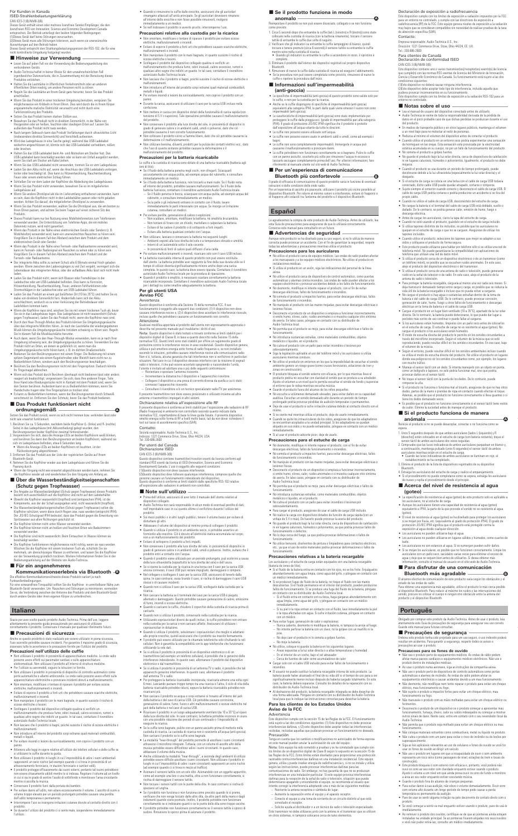# Für Kunden in Kanada

ISED-Strahlenbelastungserklärung<br>CAN ICES-3 (BI/NMB-3(B)

CAN ICES-3 (BI)MMB-3(B)<br>consistes Gerät enthält einen oder mehrere lizenzfreie Sender/Empfänger, die den<br>lizenzfreien RSS von Innovation, Science and Economic Development Canada<br>entsprechen. Der Beritelo unterligt den beid

### ■ **Das Produkt funktioniert nicht ordnungsgemäß**

- **Hinweise zur Verwendung**
- 
- Lesen Sie auf jeden Fall vor der Verwendung die Bedienungsanleitung des<br>• Audio-Technica haftet in keiner Weise für den unwahrscheinlichen Fall<br>• Audio-Technica haftet in keiner Weise für den unwahrscheinlichen Fall<br>• Ha
- Regeln Sie die Lautstärke an Ihrem Gerät ganz herunter, bevor Sie das Produkt
- anschließen. Wenn Sie das Produkt in einer trockenen Umgebung benutzen, verspüren Sie möglicherweise ein Kribbeln in Ihren Ohren. Dies wird durch die in Ihrem Körper angesammelte statische Elektrizität verursacht und nicht durch eine
- störung des Produkts. • Setzen Sie das Produkt keinen starken Stößen aus.
- Bewahren Sie das Produkt nicht in direktem Sonnenlicht, in der Nähe von Heizgeräten oder an heißen, feuchten oder staubigen Orten auf. Lassen Sie außerdem das Produkt nicht nass werden.<br>• Nach hangem Gebraucht kann das P
- 
- Halten Sie das USB-Ladekabel beim An- und Abstecken am Stecker fest. Das USB-Ladekabel kann beschädigt werden oder es kann ein Unfall ausgelöst werden, wenn Sie statt am Stecker am Kabel ziehen.
- Wenn Sie das USB-Ladekabel nicht verwenden, trennen Sie es vom Ladegehäuse. • Laden Sie den Akku nicht auf, wenn der Anschluss des USB-Ladekabels verbogen, locker oder beschädigt ist. Dies kann zu Hitzeentwicklung, Rauchentwicklung, Feuer oder einem elektrischen Schlag führen.
- Schließen Sie vor dem Laden der Kopfhörer die Abdeckung des Ladegehäuses. • Wenn Sie das Produkt nicht verwenden, bewahren Sie es im mitgelieferten
- 
- Ladegehäuse auf.<br>• Wenn Sie andere Ohrstöpsel als die im Lieferumfang enthaltenen verwenden, kann es sein, dass die Kopfhörer nicht in den Ladebehälter passen oder nicht geladen<br>• Werden. Achten Sie darauf, die mitgeliefer
- Dieses Produkt kann nur bei Nutzung eines Mobiltelefonnetzes zum Telefonieren
- verwendet werden. Die Unterstützung von Telefonie-Apps, die ein mobiles Datennetz nutzen, wird nicht garantiert.
- Wenn das Produkt in der Nähe eines elektronischen Geräts oder Senders (z. B.<br>Mobiltelefon) verwendet wird, kann ein unerwünschtes Rauschen zu hören sein.<br>Vergrößern Sie in diesem Fall den Abstand zwischen dem Produkt und
- Wenn das Produkt in der Nähe einer Fernseh- oder Radioantenne verwendet wird,<br>kann im Fernseh- oder Radiosignal ein Rauschen zu sehen oder zu hören sein.<br>Vergrößern Sie in diesem Fall den Abstand zwischen dem Produkt und
- <sub>B</sub>radam end meddem<br>1seh- oder Radioantenn ler integrierte Akku sollte zu seinem Schutz alle 6 Monate einmal frisch geladen<br>werden. Wenn zwischen den Ladevorgängen zu viel Zeit vergeht, verringert sich die<br>Lebensdauer des integrierten Akkus, oder der aufladbare Ak
- laden.<br>• Laden Sie das Produkt nicht, wenn sich Wasser oder Fremdkörper in der<br>• Ladebuchse oder am USB-Ladekabel befinden. Dies kann zu Korrosion,<br>• Hitzeentwicklung, Rauchentwicklung, Feuer, anderen Fehlfunktionen oder<br>•
- Laden Sie das Produkt an einem gut belüfteten Ort (10 bis 35°C) und halten Sie es dabei von direktem Sonnenlicht fern. Andernfalls kann sich der Akku verschlechtern, wodurch es zu einer Verkürzung der Betriebsdauer oder Ladefehlern kommen kann.
- Wenn die Kopfhörer nass sind, wischen Sie sie mit einem trockenen Tuch ab, bevor Sie sie in das Ladegehäuse legen. Das Ladegehäuse ist nicht wasserdicht (Schutz<br>gegen Tropfwasser). Laden Sie das Produkt nicht, wenn die Kopflörer nass sind.<br>• Durch den Hear-Through-Modus des Produkts können Sie Umgebung
- 
- 
- Auch dann, wenn Sie den Hear-Through-Modus verwenden, kann es je nach Ihrer<br>Umgebung schwierig sein, die Umgebungsgeräusche zu hören. Verwenden Sie das<br>Produkt nicht an Orten, an denen es gefährlich ist, wenn man die<br>Umg
- den Sensor berühren. Außerdem kann es zu Bedienfehlern kommen, wenn Sie Handschuhe tragen oder Ihre Fingerspitzen zu trocken sind.
- Es kann zu Bedienfehlern kommen, wenn der Berührungssensor durch Schweiß verschmutzt ist. Entfernen Sie den Schmutz, bevor Sie das Produkt bedienen.

Die effektive Kommunikationsreichweite dieses Produkts variiert je nach<br>Funkwellenbedingungen.<br>Für eine einwandfreie Tonqualität sollten Sie die Kopfhörer in unmittelbarer Nähe zum<br>Bluetooth-Gerät verwenden. Um Rauschen un durch andere Geräte oder ihren eigenen Körper zu unterbrechen.

● Quando si rimuovono le cuffie dalle orecchie, assicurarsi che gli auricolari<br>rimangano attaccati all'unità principale. Se gli auricolari dovessero rimanere<br>all'interno delle orecchie e non fosse possibile rimuoverli, immediatamente a un medico. • Se nell'indossare il prodotto si avverte prurito, interromperne l'uso.

- sich im Ladegehäuse befinden, etwa 6 Sekunden lang. Wenn die Anzeige-LEDs an beiden Kopfhörern rot leuchten, ist der
- 
- Rücksetzvorgang abgeschlossen. 3. Entfernen Sie das Produkt aus der Liste der registrierten Geräte auf Ihrem Bluetooth-Gerät.
- oun-oerat.<br>en Sie die Kopfhörer wieder aus dem Ladegehäuse und führen Sie die Paarung durch.
- 
- Wenn der Vorgang nicht wie erwartet abgeschlossen werden kann, nehmen Sie die Kopfhörer wieder ab und wiederholen Sie den Vorgang von Anfang an. ■ **Über die Wasserbeständigkeitseigenschaften**
- **(Schutz gegen Tropfwasser)**
- Die Angabe zur Wasserbeständigkeit (Schutz gegen Tropfwasser) dieses Produkts bezieht sich ausschließlich auf die Kopfhörer und nicht auf den Ladebehälter.
- Obwohl die Kopfhörer wasserdicht (tropffest) sind (entsprechen IPX4), ist die Kopfnonente, aus der der Schall ausgegeben wird, nicht wasserdicht (tropffest).<br>• Die Wasserbeständigkeitseigenschaften (Schutz gegen Tropfwas
- Die Kopfhörer können nicht an heißen und feuchten Orten wie Badezimmern
- verwendet werden. Die Kopfhörer sind nicht wasserdicht. Beim Eintauchen in Wasser können sie
- beschädigt werden.<br>• Die Koofhörer funkt • Die Kopfhörer funktionieren möglicherweise nicht richtig, wenn sie nass werden. Wischen Sie die Kopfhörer mit einem trockenen Tuch ab, schütteln Sie sie
- mehrmals, um überschüssiges Wasser zu entfernen, und lassen Sie die Kopfhörer<br>vor der Verwendung gründlich trocknen. Weitere Informationen finden Sie in der<br>Bedienungsanleitung auf der Website von Audio-Technica. ■ **Für ein angenehmeres**

# **Italiano**

Grazie per aver scelto questo prodotto Audio-Technica. Prima dell'uso, leggere attentamente la presente guida precauzionale per assicurarsi di utilizzare correttamente il prodotto. Conservare il manuale per qualsiasi riferimento futuro.

Setzen Sie das Produkt zurück, wenn es sich nicht trennen bzw. verbinden lässt oder nicht wie erwartet funktioniert. **A**

1. Berühren Sie ca. 5 Sekunden, nachdem beide Kopfhörer (L. (linke) und R- (rechte)<br>- Seirle) in das Ladegehäuse (mit Akkurestladung) gelegt wurden, den<br>- Berührungssensor beider Kopfhörer zweimal hintereinander.<br>2. Vergew

Il presente dispositivo è conforme ai limiti stabiliti per l'esposizione alle radiazioni di RF (Radio Frequenza) in ambiente non controllato secondo quanto indicato dalla<br>normativa FCC, rispettandone di base le linee guida fissate. Il presente dispositivo<br>emette energia sotto forma di RF a livelli molto bassi, tali

### ■ **Precauzioni di sicurezza**

Anche se questo prodotto è stato realizzato per essere utilizzato in piena sicurezza,<br>l'uso scorretto potrebbe causare incidenti. Per garantire il massimo grado di sicurezza,<br>osservare tutte le avvertenze e le precauzioni

- CAN ICES-3 (B)/NMB-3(B) Questo dispositivo contiene trasmettitori/ricevitori esenti da licenza conformi agli standard RSS esenti da licenza di ISED (Innovation, Science and Economic
- 
- Development) Canada. L'uso è soggetto alle seguenti condizioni:<br>(1) Questo dispositivo ono deve causare interferenze.<br>(2)Questo dispositivo deve tollerare qualunque interferenza, comprese quelle che<br>(2)Questo dispositivo d

### **Precauzioni nell'utilizzo delle cuffie**

- Prima dell'utilizzo, assicurarsi di aver letto il manuale dell'utente relativo al<br>• Audio-Technica non sarà responsabile in alcun modo di eventuali perdite di dati,<br>• Audio-Technica non sarà responsabile in alcun modo di
- 
- prodotto. Sui mezzi pubblici o in altri luoghi pubblici, tenere il volume basso per evitare di disturbare gli altri. • Abbassare il volume del dispositivo al minimo prima di collegare il prodotto.
- Quando si utilizza il prodotto in un ambiente secco, si potrebbe avvertire un formicolio alle orecchie. Ciò è dovuto all'elettricità statica accumulata sul corpo,
- non a un malfunzionamento del prodotto.

# **Kommunikationserlebnis via Bluetooth B**

- Non utilizzare il prodotto in prossimità di apparecchiature mediche. Le onde radio possono avere effetti sui pacemaker cardiaci e sulle apparecchiature elettromedicali. Non utilizzare il prodotto all'interno di strutture mediche.
- Per l'utilizzo su aeromobili, seguire le istruzioni ivi fornite.
- Non utilizzare il prodotto in prossimità di dispositivi di controllo automatico come<br>popre automatiche o allarmi antincendio. Le onde radio possono avere effetti sulle<br>apparecchiature elettroniche e provocare incidenti d
- 
- Evitare di esporre il prodotto a forti urti che potrebbero causare scariche elettriche,<br>• Non manipolare il prodotto con le mani bagnate, in quanto sussiste il rischio di<br>• Non manipolare il prodotto con le mani bagnate,
- 
- Scollegare il prodotto dal dispositivo collegato qualora si verifichi un malfunzionamento che produca fumo, odori inusuali, calore eccessivo, rumori e qualsiasi altro segno che indichi un guasto. In tal caso, contattare il rivenditore autorizzato Audio-Technica locale.
- Non lasciare che il prodotto si bagni, poiché sussiste il rischio di scosse elettriche o
- malfunzionamenti. Non introdurre all'interno del prodotto corpi estranei quali materiali combustibili, metalli o liquidi.
- Per evitare incendi o lesioni da surriscaldamento, non coprire il prodotto con un
- 
- panno.<br>• Attenersi alle leggi in vigore relative all'utilizzo dei telefoni cellulari e delle cuffie se<br>• Non utilizzaro le cuffie durante la guida.<br>• Non utilizzare li prodotto in luoghi in cui l'impossibilità di udire i s
- Il prodotto protegge efficacemente dai suoni esterni, pertanto tali suoni potrebbero non essere chiaramente udibili mentre lo si indossa. Regolare il volume ad un livello in cui si sia in grado di sentire l'audio di sottofondo e monitorare l'area circostante
- mentre si ascolta la musica. Conservare il prodotto fuori dalla portata dei bambini.
- Per evitare danni all'udito, non alzare eccessivamente il volume. L'ascolto di suoni a volume troppo elevato per un periodo prolungato potrebbe causare una perdita dell'udito temporanea o permanente.
- Interrompere l'uso se insorgono irritazioni cutanee dovute al contatto diretto con il
- prodotto. Se durante l'utilizzo del prodotto ci si sente male, sospenderne immediatamente l'utilizzo.

# **Precauzioni relative alla custodia per la ricarica**

• Non smontare, modificare o tentare di riparare il prodotto per evitare scosse elettriche, malfunzionamenti o incendi. • Evitare di esporre il prodotto a forti urti che potrebbero causare scariche elettriche,

■ Se il prodotto funziona in modo

• Le caratteristiche di impermeabilità (anti-goccia) sono state implementate per<br>proteggere le cuffie dalla pioggia ecc. (grado di impermeabilità pari alla categoria<br>|PX4|. Il grado di protezione JIS/IEC IPX4 significa che • Le cuffie non possono essere usate in ambienti caldi e umidi, come ad esempio i bagni. • Le cuffie non sono completamente impermeabili. Immergerle in acqua può causarne il malfunzionamento e provocare danni.

- malfunzionamenti o incendi. Non manipolare il prodotto con le mani bagnate, in quanto sussiste il rischio di scosse elettriche o lesioni.
- Coollegare il prodotto dal dispositivo collegato qualora si verifichi un<br>malfunzionamento che produca fumo, odori inusuali, calore eccessivo, rumori e<br>qualsiasi altro segno che indichi un guasto. In tal caso, contattare il aaisiasi anno segno che indicin d<br>atorizzato Audio-Technica locale
- Non lasciare che il prodotto si bagni, poiché sussiste il rischio di scosse elettriche o malfunzionamenti. • Non introdurre all'interno del prodotto corpi estranei quali materiali combustibili,
- etalli o liquidi • Per evitare incendi o lesioni da surriscaldamento, non coprire il prodotto con un
- panno. Durante la carica, assicurarsi di utilizzare il cavo per la carica USB incluso nella
- confezione. Non mettere in carica con dispositivi dotati della funzionalità di carica rapida (con tensione di 5 V o superiore). Tale operazione potrebbe causare il malfunzionamento
- del prodotto.<br>• Non conservare il prodotto alla luce diretta del sole, in prossimità di dispositivi in<br>grado di generare calore o in ambienti caldi, umidi o polverosi, dato che ciò<br>potrebbe causarne il non corretto funzion
- Non collocare il prodotto vicino a fiamme libere, dato che ciò potrebbe causarne la deformazione o il malfunzionar<br>deformazione o il malfunzionar
- Non utilizzare benzina, diluenti, prodotti per la pulizia dei contatti elettrici ecc., dato che l'uso di queste sostanze potrebbe causare la deformazione o il malfunzionamento del prodotto.

 $\bullet$  Le cuffie potrebbero non funzionare correttamente se si bagnano. Pulire le cuffie con un panno asciutto, scuoterle più volte per imuovere l'acqua in eccesso e<br>laciaria esciugare completamente prima dell'uso. Per ulte ■ Per un'esperienza di comunicazione **Bluetooth più confortevole** 

Il grado di efficacia di comunicazione di questo prodotto varia in funzione di eventuali<br>Per un'esperienza di ascolto più piacevole, utilizzare il prodotto più vicino possibile al<br>Per un'esperienza di ascolto più piacevole

Le agradecemos la compra de este producto de Audio-Technica. Antes de utilizarlo, lea<br>esta Guía de precauciones para asegurarse de que lo utilizará correctamente.<br>Conserve este manual para consultarlo en un futuro.

Aunque este producto se ha diseñado para su uso seguro, si no lo utiliza de manera<br>correcta puede provocar un accidente. Con el fin de garantizar la seguridad, respete<br>todas las advertencias y precauciones mientras utiliza

## **Precauzioni per la batteria ricaricabile**

- Le cuffie e la custodia di ricarica sono dotate di una batteria ricaricabile (batteria agli
- ioni di litio). Se il fluido della batteria penetra negli occhi, non sfregarli. Sciacquarli accuratamente con acqua pulita, ad esempio acqua del rubinetto, e consultare immediatamente un medico.
- Se il fiudo della batteria fuoriesce, non toccarlo a mani nude. Se il fiuido della chieste al metodo del prodotto, potrebbe causare malfunzionamenti. Se il fiuido della<br>batteria fuoriesce, contatare il rivenditore autor
- 
- 
- 
- Ambienti esposti alla luce diretta del sole o a temperature elevate e umidità
- Interni di un'automobile sotto il sole cocente
- In prossimità di fonti di calore quali diffusori d'aria calda
- Per evitare malfunzionamenti o incendi, ricaricare solo con il cavo USB incluso.<br>• La batteria ricaricabile interna di questo prodotto non può essere sostituita<br>dall'utente. La batteria potrebbe aver raggiunto la fine de
- 
- **Per gli utenti USA Avviso FCC**

**Avvertenza**<br>Questo dispositivo è conforme alla Sezione 15 della normativa FCC. Il suo<br>funzionamento è soggetto alle seguenti due condizioni: (1) Il dispositivo non deve<br>causare interferenze nocive e, (2) il dispositivo de

**Attenzione** ruccurizionis<br>Qualsiasi modifica apportata al prodotto dall'utente non espressamente approvata o<br>descritta nel presente manuale può invalidarne i diritti d'uso. descrita nel presente manuele può invelidare i diritti d'uso.<br>Nota: Questo dispositivo è stato testato e trovato conforme ai limiti stabiliti per i<br>dispositivi digitali di Classe B, in base a quanto descritto nella Sezione

> – Si su piel o la ropa entran en contacto con el fluido, lave inmediatamente la piel o la ropa afectadas con agua. Si sufre irritación cutánea, póngase en contacto con un médico.<br>• Para evitar fugas, generación de calor o explosiones:<br>— Nunca caliente, desmonte ni modifique la batería, ni tampoco la arroje al fuego<br>— No intente perforar la batería con un clavo, no la golpee con un ma

- 
- 
- 
- incendios.<br>• El usuario no puede sustituir la batería recargable interna de este producto. La<br>batería puede haber alcanzado el final de su vida útil si el tiempo de uso pasa a ser<br>significativamente menor incluso después d significativamente menor incluso después de nabería cargado totalmente, en e<br>caso, la batería deberá repararse. Consulte los detalles de la reparación con su distribuidor de Audio-Technica local.
- Al deshacerse del producto, la batería recargable integrada se debe desechar de una forma adecuada. Póngase en contacto con su distribuidor de Audio-Technica local para que le indique las instrucciones correctas para desechar la batería.
- Incrementare la distanza tra il dispositivo e l'apparecchio ricevitore. Collegare il dispositivo a una presa di corrente diversa da quella a cui è stato connesso l'apparecchio ricevente.
- Consultare il rivenditore e/o un tecnico specializzato radio/TV per assistenza.

Il presente trasmettitore non deve essere posizionato o utilizzato insieme ad altre antenne o trasmettitori impiegati in altri sistemi. Dichiarazione relativa all'esposizione alle RF

> Tenga en cuenta que los cambios o modificaciones no autorizados de forma expresa<br>en este manual pueden anular la autorización de uso del equipo.<br>Nota: Este equipo ha sido sometido a pruebas y se ha constatado que cumple co genera, utiliza y puede irradiar energía de radiofrecuencia y, si no se instala y utiliza<br>según las instrucciones, puede provocar interferencias dañinas para las según las instrucciones, pusde provocar inteferencias dañinas para las<br>comunicaciones de radio. Sin embargo, no hay garantía de que no se produzcan<br>inteferencias en una instalación particular. Si este equipo provoca intefe intente corregir la interferencia adoptando una o más de las siguientes medidas: – Reoriente la antena receptora o cámbiela de lugar. – Aumente la separación entre el equipo y el aparato receptor.

Este dispositivo cumple con los límites de exposición a radiación impuestos por la FCC<br>para un entorno no controlado, y cumple con las directrices de exposición a<br>radiofrecuencia (RF) de la FCC. Este equipo genera niveles muy bajos que se consideran compatibles sin necesidad de realizar pruebas de la tasa de absorción específica (SAR).

CAN ICES-3 (B)/NMB-3(B)<br>Este dispositivo contiene uno o varios transmisor(es)/receptor(es) exento(s) de licencia<br>que cumple(n) con las normas RSS exentas de licencia del Ministerio de Innovación,<br>Ciencia y Desarrollo Econó

condiciones siguientes:<br>(1) Este dispositivo no deberá causar ninguna interferencia.<br>(2)[Este dispositivo debe aceptar todo tipo de interferencia, incluida aquella que<br>(2)[Este dispositivo debe aceptar todo tipo de interfe

# Contatto:

Para clientes de Canadá Declaración de conformidad ISED

■ **Notas sobre el uso** -

Società responsabile: Audio-Technica U.S., Inc. Indirizzo: 1221 Commerce Drive, Stow, Ohio 44224, USA Tel: 330-686-2600

### Per utenti del Canada Dichiarazione ISED

● Lea el manual de usuario del dispositivo conectado antes de utilizarlo.<br>● Audio-Technica se exime de toda la responsabilidad derivada de la pérdida de<br>datos en el poco probable caso de que dichas pérdidas se produzcan d • En medios de transporte público y en otros lugares públicos, mantenga el volumen a un nivel bajo para no molestar al resto de personas. • Reduzca al mínimo el volumen del dispositivo antes de conectar el producto. • Cuando utilice el producto en un entorno seco podría experimentar una sensación de hormigueo en las orejas. Esta sensación está provocada por la electricidad estática acumulada en su cuerpo, no por un fallo de funcionamiento del producto.

### ■ **Note sull'utilizzo**

Antes de cargar los auriculares, cierre la tapa del estuche de carga. • Cuando no esté usando el producto, guárdelo en el estuche de carga incluido. • Si utiliza tapones distintos de los incluidos, es posible que los auriculares no quepan en el estuche de carga o que no se carguen. Asegúrese de utilizar los

- Evitare di sottoporre il prodotto a forti impatti.
- 
- Non conservare il prodotto alla luce diretta del sole, in prossimità di dispositivi in equalo di generare calore o in ambienti caldi, umidi o polversis. In ditte, evitare che il prodotto entri a contatto con l'acqua.<br>
•
- Quando non si utilizza il cavo per la carica USB, scollegarlo dalla custodia per la

ricarica.

• Non caricare la batteria se il terminale del cavo per la carica USB è piegato, allentato o danneggiato. Questo potrebbe causare generazione di calore, emissione

di fumo, incendi o scosse elettriche.

• Quando si caricano le cuffie, chiudere il coperchio della custodia di ricarica prima di

caricarle.

copriauricolari in dotazi

• Quando non si utilizza il prodotto, conservarlo nella custodia per la ricarica.

- Quando si utilizza il prodotto, selezionare i copriauricolari che meglio si adattano<br>calle proprie orecchie, quindi assicurarsi che il prodotto sia inserito fermamente.<br>• Il prodotto può essere utilizzato per le chiamate
- Se si utilizza il prodotto in prossimità di un dispositivo elettronico o di un trasmettitore (ad esempio un telefono cellulare), è possibile che si generino delle interferenze indesiderate. In questo caso, allontanare il prodotto dal dispositivo hico o dal trasmettitore
- Se si utilizza il prodotto in prossimità di un'antenna TV o radio, è possibile che tali apparecchi generino interferenze. In questo caso, allontanare il prodotto dall'antenna TV o radio.
- Per proteggere la batteria ricaricabile incorporata, ricaricarla almeno una volta ogni<br>6 mesi. Lasciando passare troppo tempo tra una ricarica e l'altra, il ciclo di vita della<br>batteria ricaricabile potrebbe ridursi, oppur caricarsi più.
- Non caricare il prodotto se acqua o corpi estranei si trovano all'interno del jack della batteria o del cavo di carica USB. Ciò potrebbe causare corrosione,
- generazione di calore, fumo, fuoco o altri malfunzionamenti o scosse elettriche nel<br>jack della batteria o nel cavo di carico altre malfunzionamenti o scosse elettriche nel<br>• Ricaricare il prodotto in un luogo adeguatamente
- Se le cuffie sono bagnate, pulirle con un panno asciutto prima di metterle nella custodia di ricarica. La custodia di ricarica non è resistente all'acqua (anti-goccia). custodia di ricarica. La custodia di ricarica non è n<br>Non caricare il prodotto se le cuffie sono bagnate.
- La modalità "hear-through" del prodotto permette di ascoltare i suoni circostanti attraverso il microfono integrato. Tuttavia, con un volume di ascolto alto della musica potrebbe essere difficoltoso udire i suoni circostanti. In questo caso, abbassare il volume della musica.
- Anche utilizzando la modalità "hear-through", a seconda degli ambienti di utilizzo<br>potrebbe essere difficile ascoltare i suoni circostanti. Non utilizzare il prodotto in<br>luoghi in cui l'impossibilità di udire i suoni cir
- Azionare il sensore tattile con un solo dito. Azionandolo con un oggetto appuntito, come ad esempio una biro o una matita, oltre a non funzionare correttamente, si rischia di danneggiare il sensore tattile.
- Non toccare i sensori tattili con le punte della dita. In caso contrario si rischia di spezzarsi un'unghia.
- Se il prodotto non funziona o non funziona come previsto quando lo si preme,<br>verificare che non venga tocato dalle altre dita, da attre parti della mano o dagli<br>indumenti quando viene premuto. Inoltre, il prodotto potre
- 

• Es posible que el producto no funcione correctamente si el sensor táctil tiene restos de sudor. Elimine la suciedad antes de manejar el producto. ■ **Si el producto funciona de manera** 

• Utilizzando copriauricolari diversi da quelli inclusi, le cuffie potrebbero non entrare nella custodia per la carica o non caricarsi affatto. Assicurarsi di utilizzare i

4. Extraiga los auriculares del estuche de carga y realice el emparejamiento. • Si el procedimiento no puede completarse como se espera, extraiga los auriculares de nuevo y repita el procedimiento desde el principio. ■ **Acerca del nivel de resistencia al agua** 

● La especificación de resistencia al agua (goteo) de este producto solo es aplicable a<br>Los auriculares, no al estuche de carga.<br>● Aunque los auriculares tienen una capacidad de resistencia al agua (goteo)<br>equivalente a I • El nivel de resistencia al agua (goteo) se ha diseñado para proteger los auriculares si se mojan por lluvia, etc. (equivalente al grado de protección IPX4). El grado de protección JIS/IEC IPX4 significa que el producto está protegido contra la exposición al agua desde cualquier dirección.

El alcance efectivo de comunicación de este producto varía según los obstáculos y el<br>estado de las ondas de radio.<br>Para obtener una experiencia más agradable, utilice el producto lo más cerca posible<br>al dispositivo Bluetoo sonido, procure no colocar el cuerpo ni ningún otro obstáculo entre la antena del producto y el dispositivo Bluetooth.

- 
- 
- $\bullet$  Não use o produto perto de equipamentos médicos. As ondas de rádio podem<br>aréata marca-passos cardíacos e equipamentos médicos eletrônicos. Não use o<br>produto dentro de instalações médicas.<br> $\bullet$  Ab usar o produto unum
- Não desmonte, não modifique nem tente reparar o produto para evitar um choque elétrico, mau funcionamento ou fogo.
- Não sujeite o produto a impactos fortes para evitar um choque elétrico, mau funcionamento ou fogo.
- Não manuseie o produto com as mãos molhadas para evitar um choque elétrico ou
- ferimentos.<br>• Desconecte o produto de um dispositivo se o produto começar a apresentar mau<br>tuncionamento, fumaça, cheiro, calor ou ruídos indesejados ou começar a mostrar<br>outros sinais de dano. Neste caso, entre em contato
- Não permita que o produto seja molhado para evitar um choque elétrico ou mau funcionamento.
- .<br>hateriais estranhos como combustíveis, metal ou líquido no produto
- Não cubra o produto com um pano para evitar o risco de incêndio ou de lesões por
- superaquecimento. Siga as leis aplicáveis relevantes ao uso de celulares e fones de ouvido se você for usar os fones de ouvido ao dirigir um veículo.
- Não use o produto em lugares em que a incapacidade de ouvir o som ambiente represente um risco sério (como passagens de nível, estações de trem e locais de construção).
- Este produto bloqueia o som externo com eficácia e, portanto, você poderá não ouvir os sons ao seu redor com claridade enquanto estiver usando o produto. Ajuste o volume a um nível em que ainda possa ouvir os sons de fundo e monitore
- a área ao seu redor enquanto estiver escutando música. Guarde o produto fora do alcance de crianças pequenas.
- Para evitar danos à sua audição, não eleve o volume demasiadamente. Ouvir sons<br>com volume alto durante um longo período de tempo pode causar a perda<br>temporária ou permanente da audição.<br>• Pare de usar se sentir alguma ir
- 
- Se você começar a sentir-se mal enquanto estiver usando o produto, pare de usá-lo
- imediatamente. Ao remover o produto dos ouvidos, certifique-se de que as ponteiras ainda estejam instaladas na unidade principal. Se as ponteiras ficarem alojadas nos seus ouvidos e você não puder retirá-las, consulte um médico imediatamente.

**anomalo**

Reimpostare il prodotto se non può essere dissociato, collegato o se non funziona

mentre sono nella custodia di ricarica. • Quando gli indicatori su entrambe le cuffie si accendono in rosso, il ripristino è completo. 3. Eliminare il prodotto dall'elenco dei dispositivi registrati sul proprio dispositivo Bluetooth. ur.<br>Pre di nuovo le cuffie dalla custodia di ricarica ed eseguire l'abbiname • Se la procedura non può essere completata come previsto, rimuovere di nuovo le cuffie e ripetere la procedura dall'inizio. ■ **Informazioni sull'impermeabilità** 

**(anti-goccia)** 

• Le specifiche di impermeabilità (anti-goccia) di questo prodotto sono valide solo per le cuffie, e non per la custodia per la ricarica. • Anche se le cuffie dispongono di specifiche di impermeabilità (anti-goccia) equivalenti alla categoria IPX4, le parti dalle quali viene emesso il suono non sono impermeabili (anti-goccia).

**Español**

nstalaciones mé

■ **Advertencias de seguridad**

**Precauciones para los auriculares**

• No utilice el producto cerca de equipos médicos. Las ondas de radio pueden afectar a los marcapasos y a los equipos médicos electrónicos. No utilice el producto en

• Si utiliza el producto en un avión, siga las indicaciones del personal de la línea

aérea.<br>
• No utilice el producto cerca de dispositivos de control automático, como puertas<br>
• No utilice el producto cerca de dispositivos de cardio pueden afectar a los<br>
• equipos electrónicos y provocar accidentes debido

• No manipule el producto con las manos mojadas, para evitar descargas eléctricas o lesiones físicas. ● Desconecte el producto de un dispositivo si empieza a funcionar incorrectamente,<br>si emite humo, olores, calor, ruidos anormales o si muestra cualquier otro síntoma<br>de avería. En tales casos, póngase en contacto con su d Audio-Technica local. • No permita que el producto se moje, para evitar descargas eléctricas o fallos de

funcionamiento.<br>
• No introduzza sustancias extrañas, como materiales combustibles, objetos<br>
• No introduzza sustancias en el producto.<br>
• No cubra el producto con un paño para evitar incendios o lesiones por<br>
• Siga la le

• El producto bloquea el sonido externo con eficacia, por lo que mientras lleve el producto podría no escuchar con claridad el sonido que se produce a su alrededor.

Ajuste el volumen a un nivel que le permita escuchar el sonido de fondo y supervise<br>el entorno que le rodea mientras escucha mísica.<br>• Nuarde el producto fuera del alcance de los niños pequeños.<br>• Nuarde el producto fuera

mismo.<br>• Si se siente mal mientras utiliza el producto, deje de usarlo inmediatamente.<br>• Cuando se quite los intrauriculares de los oídos, asegúrese de que los adaptadores<br>se encuentran acoplados a la unidad principal. Si

• Si al usar el producto advierte picor, deje de usarlo. **Precauciones para el estuche de carga** • No desmonte, modifique ni intente reparar el producto, con el fin de evitar descargas eléctricas, fallos de funcionamiento o incendios. • No someta el producto a impactos fuertes, para evitar descargas eléctricas, fallos

de funcionamiento o incendios.

• No manipule el producto con las manos mojadas, para evitar descargas eléctricas o lesiones físicas. • Desconecte el producto de un dispositivo si empieza a funcionar incorrectamente, si emite humo, olores, calor, ruidos anormales o si muestra cualquier otro síntoma de avería. En tales casos, póngase en contacto con su distribuidor de Audio-Technica local. • No permita que el producto se moje, para evitar descargas eléctricas o fallos de funcionamiento. • No introduzca sustancias extrañas, como materiales combustibles, objetos

metálicos o líquidos, en el producto.

niento.

• No cubra el producto con un paño para evitar incendios o lesiones por

• Para cargar el producto, asegúrese de usar el cable de carga USB incluido. • No realice la carga con dispositivos dotados de función de carga rápida (con un voltaje de 5 V o más). De hacerlo puede provocar la avería del producto. • No guarde el producto bajo la luz solar directa, cerca de dispositivos de calefacción ni en lugares calurosos, húmedos o polvorientos, ya que podría provocar fallos de funcionamiento o defectos. • No lo deje cerca del fuego, ya que podría provocar deformaciones o fallos de funcionamiento. • No utilice benceno, disolventes de pintura o limpiadores para contactos eléctricos, etc., ya que el uso de estos materiales podría provocar deformaciones o fallos de

funcionamiento.

**Precauciones relativas a la batería recargable** Los auriculares y el estuche de carga están equipados con una batería recargable<br>(batería de iones de litio).<br>● Si el fluido de la batería entra en contacto con los ojos, no se los frote. Enjuáguelos abundantemente con agua limpia, como agua del grifo, y póngase en contacto con un médico inmediatamente.<br>• Si se producen fugas de fluído de la batería, no toque el fluído con las manos<br>• descubiertas. Si el fluído permanece en el interior del producto, pueden producirse<br>• fallos de funcionamiento. S – Si el fluido entra en contacto con su boca, haga gárgaras abundantemente con agua limpia, como agua del grifo, y póngase en contacto con un médico

inmediatamente.

- 
- No moje la batería.<br>
 No tutilice, coloque ni guarde la batería en los siguientes lugares:<br>
 Áreas expuestas a la luz solar directa o a altas temperaturas y humedad<br>
 En el interior de un coche, bajo el sol abrasador<br>
- pise. No deje caer el producto ni lo someta a golpes fuertes.
- 

### **Para los clientes de los Estados Unidos Aviso de la FCC**

Advertencia<br>
Este dispositivo cumple con la sección 15 de las Reglas de la FCC. El funcionamiento<br>
Este dispositivo a las dos condiciones siguientes: (1) Este dispositivo no debe provocar<br>
interferencias dañinas, y (2) est

- 
- 
- Conecte el equipo a una toma de corriente de un circuito distinto al que está
- conectado el receptor. Solicite ayuda al distribuidor o a un técnico de radio o televisión especializado.

Este transmisor no debe utilizarse junto con la antena ni el transmisor que se utilicen en otros sistemas, ni tampoco colocarse cerca de tales elementos.

**A**

**B**

come previsto.<br>1. Circa 5 secondi dopo che entrambe le cuffie (lati L (sinistro) e R (destro)) sono state<br>collocate nella custodia di ricarica (con la batteria rimanente), toccare il sensore<br>tatille di entrambe le cuffie d

Declaración de exposición a radiofrecuencia

Contacto:

Empresa responsable: Audio-Technica U.S., Inc. Dirección: 1221 Commerce Drive, Stow, Ohio 44224, EE. UU. Tel.: 330-686-2600

• No someta el producto a golpes fuertes.

• No guarde el producto bajo la luz solar directa, cerca de dispositivos de calefacción ni en lugares calurosos, húmedos o polvorientos. Igualmente, el producto no debe mojarse. • Cuando el producto se usa durante un periodo de tiempo prolongado, puede decolorarse debido a la luz ultravioleta (especialmente la luz solar directa) y el

desgaste.<br>• Si el estuche de carga se coloca en una bolsa con el cable de carga USB todavía<br>• Si el estuche de carga se coloca en una bolsa contarse o romperse.<br>• Sujete siempre el conector cuando conecte y desconecte el c

propio cable.

• Cuando no utilice el cable de carga USB, desconéctelo del estuche de carga. • No cargue la batería si el terminal del cable de carga USB está doblado, suelto o dañado. De lo contrario, se podría generar calor, emisión de humo, fuego o

tapones incluídos.<br>Conardo utilíce el producto, seleccione los tapones que mejor se adapten a sus<br>oídos y colóquese el producto de forma segura.<br>Celéctro soló si se utilíza una red de Este producto quede utilízare para hab

descarga eléctrica.

• Si utiliza el producto cerca de una antena de radio o televisión, puede generarse ruido en la señal de televisor o de radio. En este caso, aleje el producto de la

antena de radio o televisión.<br>
• Para proteger la batería recargable, cárguela al menos una vez cada seis meses. Si<br>
deja transsurríc denasiado tiempo entre carga , recapa, es posible que se reduzca la<br>
via única de la bat

• Si los auriculares están húmedos, límpielos con un paño seco antes de colocarlos

en el estuche de carga. El estuche de carga no es resistente al agua (goteo). No<br>cargue el producto si los auriculares están húmedos.<br>• El modo de escucha directa del producto le permite oír los sonidos circundantes a<br>• ta

• Según el entorno, puede resultar difícil oír los sonidos ambientales incluso cuando se utiliza el modo de escucha directa del producto. No utilice el producto en lugares donde sea peligroso no oír los sonidos circundantes como, por ejemplo, los lugares

com mucho tráfico.<br>
Maneje el sensor táctil con un dedo. Si intenta manejarlo con un objeto en punta,<br>
como un bolígrafo o lapicero, no solo podrá funcionar mal, sino que podría<br>
provocar daños en el sensor táctil.<br>
No toq

**anómala**

Reinicie el producto si no se puede desacoplar, conectar o no funciona como se

espera.

**Bluetoot** 

1. Unos 5 segundos después de que ambos auriculares [lados L (izquierdo) y R (derecho)] estén colocados en el estuche de carga (con batería restante), toque el

sensor táctil de ambos aurículares dos veces seguidas.<br>2. Compruebe que las luces indicadoras de ambos aurículares parpadean en blanco y,<br>a continuación, mantenga pulsado (unos 6 segundos) el sensor táctil de ambos<br>aurícul

3. Elimine el producto de la lista de dispositivos registrados de su dispositivo

**(goteo)** 

• Los auriculares no pueden utilizarse bajo el agua.

• Los auriculares no pueden utilizarse en lugares cálidos y húmedos, como cuartos de baño. • Los auriculares no son estancos al agua. Si se sumergen pueden sufrir daños. Si se mojan los auriculares, es posible que no funcionen correctamente. Limpie los<br>auriculares con un paño seco, sacúdalos varias veces para eliminar el exceso de<br>agua y deje que se sequen bien antes de utilizarlos. Si des ■ **Para disfrutar de una comunicación Bluetooth más agradable** 

**Português**

**Exercitar precauções de segurança**<br>Embora este produto tenha sido projetado para um uso seguro, o uso indevido poderá<br>resultar em acidentes. Para garantir a segurança, respeite todos os avisos e<br>precauções ao usar o produ

Obrigado por comprar este produto da Audio-Technica. Antes de usar o produto, leia atentamente este Guia de precauções de segurança para assegurar seu uso correto. Guarde este manual para futuras consultas.

### **Precaucoes para os fones de ouvido**

**A**

**B**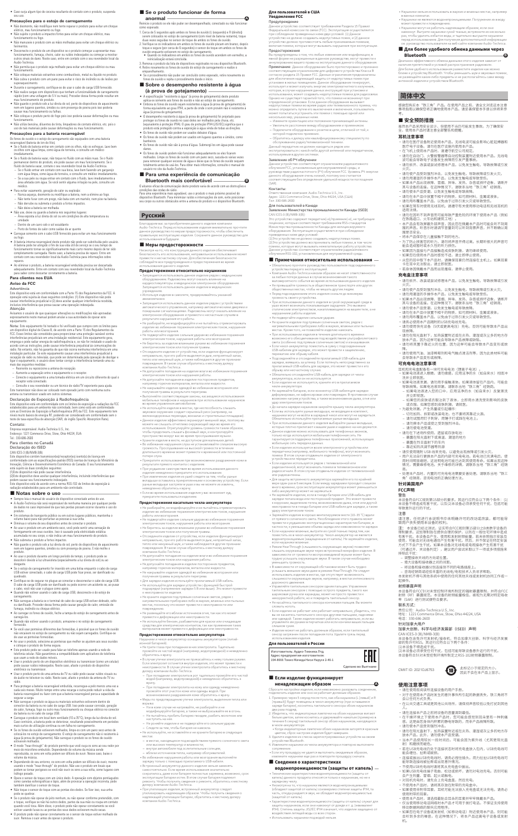• Caso surja algum tipo de coceira resultante do contato com o produto, suspenda seu uso.

### **Precauções para o estojo de carregamento**

- Não desmonte, não modifique nem tente reparar o produto para evitar um choque<br>● elétrico, mau funcionamento ou fogo.<br>● Não sujeite o produto a impactos fortes para evitar um choque elétrico, mau
- funcionamento ou fogo. Não manuseie o produto com as mãos molhadas para evitar um choque elétrico ou
- ferimentos.<br>• Desconecte o produto de um dispositivo se o produto começar a apresentar mau<br>• funcionamento, fumaça, cheiro, calor ou ruídos indesejados ou começar a mostrar<br>• outros sinais de dano. Neste caso, entre em con
- Não permita que o produto seja molhado para evitar um choque elétrico ou mau
- funcionamento. Não coloque materiais estranhos como combustíveis, metal ou líquido no produto. • Não cubra o produto com um pano para evitar o risco de incêndio ou de lesões por superaquer
- Durante o carregamento, certifique-se de usar o cabo de carga USB fornecido. • Não realize cargas com dispositivos que tenham a funcionalidade de carregamento rápido (com uma voltagem de 5 V ou mais). Proceder dessa forma pode resultar em
- mau funcionamento do produto.<br>• Não guarde o produto sob a luz direta do sol, perto de dispositivos de aquecimento<br>n em em lugares quentes, úmidos ou com presença de poeira pois isso poderia<br>causar mau funcionamento ou fal
- 
- Não utilize benzina, diluentes de tinta, limpadores de contato elétrico, etc. pois o uso de tais materiais pode causar deformações ou mau funcionamento.

### **Precauções para a bateria recarregável**

- 
- Os fones de ouvido e o estojo de carregamento são equipados com uma bateria<br>recarregável (bateria de ion de lítio).<br>• Se o fluido de bateria entrar em contato com os olhos, não os esfregue. Lave bem<br>os olhos com água límpa
- Se o fluido de bateria vazar, não toque no fluido com as mãos nuas. Se o fluido permanecer dentro do produto, ele pode causar um mau funcionamento. Se o<br>fluido de bateria vazar, contate o seu revendedor local da Audio-Technica.<br>— Se o fluido entrar em contato com sua boca, lave bem fazendo um gargarej – Se a sua pele ou roupa entrar em contato com o fluido, lave imediatamente a área afetada com água. Se você sentir alguma irritação na pele, consulte um médico.
- Para evitar vazamento, geração de calor ou explosão: Nunca aqueça, desmonte ou modifique a bateria, nem a elimine ao fogo.
- Não tente furar com um prego, não bata com um martelo, nem pise na bateria. Não derrube ou submeta o produto a fortes impactos. Não deixe a bateria ser molhada.
- Não use, deixe ou guarde a bateria nos seguintes lugares: Área exposta à luz direta do sol ou em condições de alta temperatura ou umidade
- 
- Dentro de um carro sob o sol escaldante Perto de fontes de calor como saídas de ar quente Carregue somente com o cabo USB fornecido para evitar um mau funcionamento
- 
- ou fogo.<br>• A bateria interna recarregável deste produto não pode ser substituída pelo usuário.<br>4 A bateria pode ter atingido o fim de sua vida útil de serviço se o seu tempo de<br>funcionamento tornar-se significativamente ma
- reparos. Ao eliminar o produto, a bateria recarregável embutida precisa ser descartada adequadamente. Entre em contato com seu revendedor local da Audio-Technica para saber como descartar corretamente a bateria. **Para clientes nos EUA**

Advertência Este dispositivo está em conformidade com a Parte 15 dos Regulamentos da FCC. A operação está sujeita às duas seguintes condições: (1) Este dispositivo não pode<br>causar interferência prejudicial e (2) deve aceitar qualquer interferência recebida,<br>inclusive interferência que possa causar uma operação in

Atenção .<br>Avisamos o usuário de que quaisquer alterações ou modificações não aprovadas<br>expressamente neste manual podem anular a sua autoridade de operar este<br>equipamento.

expressamente neste manual podem anular a sua autoridade de operar este<br>equipamento.<br>Nota: Este equipamento foi testado e foi verificado que cumpre com os limites para<br>um dispositivo digital de Classe B, de acordo com a Pa

- 
- 
- 
- Este transmissor não deve ser colocado nem operado junto com nenhuma outra antena ou transmissor usado em outros sistemas.

Este dispositivo está em conformidade com os limites de exposição a radiações da FCC<br>estabelecidos para um ambiente não controlado, bem como está em conformidade<br>com as Diretrizes de Exposição à Radiofrequência (RF) da FCC níveis muito baixos de energia RF, podendo ser considerado em conformidade sem o teste de taxa específica de absorção (SAR, do inglês Specific Absorption Rate).

### **Aviso da FCC**

- Ompre leia o manual do usuário do dispositivo conectado antes do uso.<br>A Audio-Technica não será responsável de nenhuma maneira por qualquer perda<br>de dados no caso improvável de que tais perdas possam ocorrer durante o uso
- 
- produto.<br>• Em sistemas de transporte público ou em outros lugares públicos, mantenha o<br>• Em sistemas de transporte público ou em outros à sua volta.<br>• Diminua o volume de seu dispositivo antes de cronectar o produto.<br>• Ao
- Não submeta o produto a fortes impactos. • Não guarde o produto sob a luz direta do sol, perto de dispositivos de aquecimento nem em lugares quentes, úmidos ou com presença de poeira. E não molhe o
- produto.
- Ao usar o produto durante um longo período de tempo, o produto pode se descolorir devido à luz ultravioleta (especialmente a luz direta do sol) ou ao
- desgaste. Se o estojo de carregamento for inserido em uma bolsa enquanto o cabo de carga USB estiver conectado, o cabo de carga USB pode ficar preso, ser danificado ou
- quebrado.<br>● Certifique-se de segurar no plugue ao conectar e desconectar o cabo de carga USB.<br>○ C cabo de carga USB pode ser danificado ou pode ocorrer um acidente se, ao puxar<br>○ cabo, você não usar o plugue como apoio.<br>●
- carregamento.
- Não carregue a bateria se o terminal do cabo de carga USB estiver dobrado, solto ou danificado. Proceder dessa forma pode causar geração de calor, emissão de
- fumaça, incêndio ou choque elétrico. Ao carregar os fones de ouvido, feche a tampa do estojo de carregamento antes de carregá-los.
- Quando não estiver usando o produto, armazene-o no estojo de carregamento
- 

- Ao usar o produto, selecione as ponteiras que melhor se ajustem aos seus ouvidos e coloque o produto de forma segura.
- Este produto pode ser usado para falar ao telefone apenas usando a rede de telefonia celular. Não garantimos a compatibilidade com aplicativos de telefonia que usam a rede de dados móveis.
- Usar o produto perto de um dispositivo eletrônico ou transmissor (como um celular) pode causar ruídos indesejados. Neste caso, afaste o produto do dispositivo eletrônico ou transmissor.
- Usar o produto perto de uma antena de TV ou rádio pode causar ruídos visuais ou de áudio no televisor ou rádio. Neste caso, afaste o produto da antena de TV ou
- rádio.<br>● Para proteger a bateria recarregável embutida, recarregue-a pelo menos uma vez a<br>cada seis meses. Muito tempo entre uma recarga e outra pode reduzir a vida da<br>bateria recarregável ou fazer com que a bateria recar segurar a carga.
- Não carregue o produto se água ou materiais estranhos estiverem dentro do<br>conector da bateria ou no cabo de carga USB. Isso pode causar corrosão, geração<br>de calor, fumaça, fogo ou outro mau funcionamento ou choque elétri
- 
- colocá-los no estojo de carregamento. O estojo de carregamento não é resistente à água (à prova de gotejamento). Não carregue o produto se os fones de ouvido
- estiverem molhados. O modo "hear-through" do produto permite que você ouça os sons ao seu redor por meio do microfone embutido. Dependendo do volume da música sendo reproduzida, os sons em volta podem ser difíceis de ouvir. Nesse caso, baixe o volume da música.
- · Dependendo do seu entorno, os sons em volta podem ser difíceis de ouvir, mesmo<br>usando o modo "hear-through" do produto. Não use o produto em locais que<br>podem se tornar perigosos se você não ouvir os sons a sua volta, com .<br>tráfego pesado.
- Opere o sensor de toque com um único dedo. A operação com objetos pontiagudos como canetas esferográficas e lápis, além de provocar a operação incorreta, pode tém danificar o sensor de toque.
- Não toque o sensor de toque com as pontas dos dedos. Se fizer isso, sua unha
- pode se quebrar.<br>
se quebra comperar de jeito nenhum, ou não operar conforme pretendido, com<br>
o toque, verifique se não há outros dedos, partes da sua mão ou roupa em contato<br>
quando você toca. Além disso, o produto pode n
- 

### Declaração de Exposição à Radiofrequência

- 1. Cerca de 5 segundos após ambos os fones de ouvido (L (esquerdo) e R (direito)) serem colocados no estojo de carregamento (com nível de bateria restante), toque<br>duas vezes seguidas no sensor de toque de ambos os fones de ouvido.<br>2. Veríñque se os indicadores em ambos os fones de ouvido piscam em branc
- reinicialização estará concluída.
- 3. Remova o produto da lista de dispositivos registrados no seu dispositivo Bluetooth. 4. Retire novamente os fones de ouvido do estojo de carregamento e realize o
- emparelhamento. Se o procedimento não puder ser concluído como esperado, retire novamente os fones de ouvido e repita o procedimento desde o início. ■ **Sobre o desempenho resistente à água**
- **(à prova de gotejamento)**
- A especificação "resistente à água" (à prova de gotejamento) deste produto<br>aplica-ae somente aos fones de ouvido e não ao estojo de carregamento.<br>A Embora os fones de ouvido sejam resistentes à água (à prova de gotejamento
- água (à prova de gotejamento).<br>O desempenho resistente à água (à prova de gotejamento) foi projetado para<br>proteger os fones de ouvido no caso deles ser molhados pela chuva, etc.<br>lequivalente à protega o IPA4). O grau de pr
- 
- Os fones de ouvido não são à prova d'água. Submergí-los em água pode causar
- danos. Os fones de ouvido podem não funcionar adequadamente se eles ficarem molhados. Limpe os fones de ouvido com um pano seco, sacuda-os várias vezes<br>para remover qualquer excesso de água e deixe que os fones de ouvido sequem<br>totalmente antes de usá-los. Para obter mais informações, consulte o m
- **Para uma experiência de comunicação**
- **Bluetooth mais confortável B**
- O alcance eficaz de comunicação deste produto varia de acordo com as obstruções e<br>condições das ondas de rádio.<br>Para uma experiência mais agradável, use o produto o mais próximo possível do<br>dispositivo Bluetooth. Para mini

Contato: Empresa responsável: Audio-Technica U.S., Inc. Endereço: 1221 Commerce Drive, Stow, Ohio 44224, EUA Tel.: 330-686-2600

Para clientes no Canadá Declaração do ISED

CAN ICES-3 (BJ/NMB-3(B)<br>Este dispositivo contém transmissor(es)/receptor(es) isento(s) de licença em<br>conformidade com as específicações-padrão (RSS) isentas de licença do Ministério da<br>Inovação, Ciência e Desenvolvimento E

está sujeito às duas condições seguintes:<br>(1) Este dispositivo não pode causar interferência.<br>(2)Este dispositivo deve aceitar qualquer interferência, incluindo interferências que<br>podem causar seu funcionamento indesejado.

### ■ **Notas sobre o uso** -

- ионной батареей). Не трите глаза при попадании в них электролита. Тщательно ойте их чистой водой (например, водопров ратитесь к врачу.
- В случае утечки электролита не прикасайтесь к нему голыми руками.<br>Если электролит останется внутри изделия, это может привести к<br>неисправности. В случае утечки электролита обратитесь к местному<br>дилеру компании малектрол
- водой (например, водопроводной) и немедленно обратитесь к врачу. – При попадании электролита на кожу или одежду немедленно
- промойте этот участок кожи или одежды водой. При возникновении раздражения кожи обратитесь к врачу. Меры по предотвращению утечки электролита, выделения тепла или
- 
- 
- взрыва: Ни в коем случае не нагревайте, не разбирайте и не модифицируйте батарею, а также не выбрасывайте ее в огонь. Не пытайтесь пробить батарею гвоздем, разбить молотком или
- наступить на нее.
- –<br>Няйте изделие и не подвергайте его сильным ударам
- следите за тем, чтобы батарея не намо

не за тем, чтооы оатарея не намокла.<br>льзуйте, не оставляйте и не храните батарею в следу

- .<br>- В местах: цам – в местах, находящихся под воздействием прямого солнечного света
- или высоких температур и влажности; внутри автомобиля под ослепительным солнцем;
- 
- вблизи источников тепла, например обогревателей. Во избежание нарушения работы или возгорания выполняйте зарядку только с помощью прилагаемого USB-кабеля.
- <sub>рдну</sub> голыме с полющью прилагаемы о осаг паролитиру.<br>роенный аккумулятор данного изделия нельзя заменять<br>остоятельно. Если время использования значительно самостоятельно. Если время использования значительно<br>сократилось, даже если батарея полностью заряжена, возможно, срок<br>эксплуатации батареи истек. В этом случае батарея подлежит<br>ремонту. Чтобы получить сведения о ремонте,
- надлежащей утилизации батареи, обратитесь к местному дилеру компании Audio-Technica.
- Se o produto funcionar de forma
- **anormal** . . . . .<br>uto se ele não puder ser desemparelhado, conectado ou não fun como esperado. **A**

# **Русский**

Благодарим вас за приобретение данного изделия компании<br>Audio-Technica. Перед использованием изделия внимательно прочтите<br>данное руководство по мерам предосторожности, чтобы обеспечить<br>правильную эксплуатацию изделия. Сох енения в ге<br>ия в будущ

### ■ **Меры предосторожности**

Несмотря на то, что конструкция данного изделия обеспечивает<br>безопасность его использования, неправильное использование может<br>привести к несчастному случаю. Для обеспечения безопасности<br>соблюдайте все предупреждения.<br>испо

• Если изделие не работает или работает неправильно, убедитесь, что<br>вы не касаетесь тактильного сенсора другими пальцами, ладонями<br>или одеждой. Также изделие может работать неправильно, если вы<br>управляете им руками в перч .<br>эдания пота. Удалите грязь перед использованием изделия.

### **Предостережения относительно наушников**

• Запрещается использовать данное изделие рядом с медицинским<br>оборудованием. Радиоволны могут оказать влияние на<br>кардиостимуляторы и медицинское электронное оборудование.<br>Запрещается использовать данное изделие в медицинс

учреждениях. • Используя изделие в самолете, придерживайтесь указаний

авиакомпании.<br>• Запрещается использовать данное изделие рядом с устройствами<br>• автоматического управления, например автоматическими дверями и<br>пожарными сигнализациями. Радиоволны могут оказать влияние на<br>• электронное обо

• Не разбирайте, не модифицируйте и не пытайтесь отремонтировать изделие во избежание поражения электрическим током, нарушения работы или возгорания.

- 
- Не подвергайте изделие сильным ударам во избежание поражения<br>- электрическим током, нарушения работы или возгорания.<br>• Не беритесь за изделие влажными руками во избежание поражения<br>- электрическим током или получения т
- 

компании Audio-Technica.<br>• Не допускайте попадания на изделие влаги во избежание поражения<br>• электрическим током или нарушения работы.<br>• например торючих материалов, металла или жидкости.<br>• например торючих материалов, ме чтобы продолжать слышать фоновый звук, и контролируйте<br>пространство вокруг вас во время прослушивания музыки.<br>- Храните изделие в месте, не доступном для маленьких детей.<br>- Во избежание нарушения слуха не устанавливайте с

итислополо.<br>потере слуха. •<br>• Прекратите в при возникновении раздражения кожи в

• Наушники могут не работать надлежащим образом, если они<br>- намокнут. Вытрите наушники сухой тканью, встряхните их несколько<br>- раз, чтобы удалить избыток воды, и тщательно высушите наушники<br>- перед использованием. Для пол ■ **Для более удобного обмена данными через Bluetooth**

Диапазон эффективного обмена данными этого изделия зависит от<br>наличия препятствий и условий распространения радиоволн.<br>Для более удобного использования разместите изделие как можно<br>ближе к устройству Bluetooth. Чтобы умен не размещайте какие-либо предметы и не располагайтесь сами между антенной изделия и устройством Bluetooth.

耳机和充电盒配备有一块可充电电池(锂离子电池)。 ‧ 如果电池液进入眼睛,请勿揉搓。应用洁净的水(如自来水)彻底冲 …<br>・如果电池液泄漏,请勿用手接触液体。如果液体留在产品内,可能会<br>-

– 请勿使电池受潮。<br>・请勿在下述场所使用,遗留或存放电池 ‧ 请勿在下述场所使用,遗留或存放电池: – 暴露在阳光直射下或高温、潮湿的地方 – 暴露在烈日直射下的车内 – 靠近如热风调节器等热源

**针对美国用户 FCC声明**<br>警告

- результате прямого контакта с изделием.
- При ухудшении самочувствия во время использования данного изделия немедленно прекратите его использование.
- При извлечении изделия из ушей следите за тем, чтобы ушные вкладыши оставались прикрепленными к основному устройству. Если ушные вкладыши застряли в ушах и вы не можете их извлечь, немедленно обратитесь к врачу.
- Если во время использования изделия у вас возникнет зуд, прекратите пользоваться изделием.

### **Предостережения касательно чехла-аккумулятора**

- Не разбирайте, не модифицируйте и не пытайтесь отремонтировать изделие во избежание поражения электрическим током, нарушения
- работы или возгорания.<br>• Не подвергайте изделие сильным ударам во избежание поражения<br>• Не беритесь за изделие влажными руками во избежания.<br>• Не беритесь за изделие влажными руками во избежание поражения<br>• электрическим
- Отсоедините изделие от устройства, если изделие функционирует<br>теправильно, при его работе выделяется дым, неприятный запах,<br>тепло или ненужный шум, а также наблюдаются другие признаки<br>повреждения. В таком случае обратит
- 
- Не допускайте попадания на изделие влаги во избежание поражения<br>- электрическим током или нарушения работы.<br>- Не допускайте попадания в изделие посторонних предметов,<br>- например горючих материалов, металла или жидкости.
- 
- Не используйте для зарядки устройств с функцией быстрой подзарядки (напряжение зарядки 5 В или выше). Это может привести
- к неисправности изделия. • Не храните изделие под прямым солнечным светом, рядом с нагревательными приборами либо в жарких, влажных или пыльных местах, поскольку это может привести к неисправности или

fornecido.<br>• Se você usar ponteiras diferentes das fornecidas, é possível que os fones de ouvido<br>não encaixem no estojo de carregamento ou não sejam carregados. Certifique-se<br>de usar as ponteiras fornecidas.

### **Предостережения относительно аккумулятора**

кол-аккумулятор оснащены

повреждению.<br>- Не размещайте его вблизи источников огня, так как это может<br>- привести к деформации или неисправности.<br>- Не используйте бензин, разбавители для краски или очищающие<br>- средства для электрических контактов, т

**Для пользователей в США Уведомление FCC**

Предупреждение<br>Данное устройство соответствует требованиям Раздела 15 Правил<br>Федеральной комиссии по связи (FCC). Эксплуатация осуществляется<br>при соблюдении приведенных ниже двух условий. (1) Данное<br>устройство не должно с

**Предостережения**<br> **«Предостережения** отом, что любые изменения или модификации, в<br>
явной форме не разрешенные в данном руководстве, могут привести к<br>
аннулированию вашего права на эксплуатацию данного оборудования.<br> **При** 

– Подключите оборудование к розетке в цепи, отличной от той, к которой подключен приемник. – Обратитесь к дилеру или квалифицированному специалисту по обслуживанию радио/телевизионной техники. Данный передатчик не должен находиться рядом или эксплуатироваться с какой-либо другой антенной или передатчиком,

используемым в других системах.<br>Заявление об РЧ облучении<br>Данное устройство соответствует ограничениям радиоактивного<br>облучения FCC, установленным для неуправляемой среды, и<br>руководствам радиочастотного (PV) облучения FCC

соответствующим без определения удельной мощности поглощения (SAR).

Контакты: Ответственная компания: Audio-Technica U.S., Inc. Адрес: 1221 Commerce Drive, Stow, Ohio 44224, USA (США) Тел: 330-686-2600

Для пользователей в Канаде

Заявление Министерства промышленности Канады (ISED) CAN ICES-3 (B)/NMB-3(B))

Это устройство содержит передатчик(-и)/приемник(-и), не требующие<br>лицензии, которые соответствуют требованиям RSS-стандартов<br>Министерства промышленности Канады для нелицензируемого<br>оборудования. Эксплуатация осуществляет

■ **Примечания относительно использования**

• Обязательно прочтите руководство пользователя подсоединенного<br>• устройства перед его эксплуатацией.<br>• Компания Audio-Technica никоим образом не несет ответственности<br>• за любье потери данных в случае возникновения таког

• Не превышайте громкость в общественном транспорте или других общественных местах, чтобы не мешать другим людям. • Перед подсоединением этого изделия снизьте до минимума

громкость своего устройства.<br>• При использовании данного изделия в сухой окружающей среде в<br>• ушах может возникать покалывающее ощущение. Это вызвано<br>статическим электричеством, накапливающимся на вашем теле, а не<br>нарушен

• Не храните изделие под прямым солнечным светом, рядом с нагревательными приборами либо в жарких, влажных или пыльных местах. Кроме того, не позволяйте изделию намокать. • При использовании изделия в течение длительного времени возможно его обесцвечивание под воздействием ультрафиолетового

света (особенно под прямым солнечным света (особенно под прямым солнечным света (особенно для зарядки, это может привести к защемлению, USB-кабелем для зарядки, это может привести к защемлению, пережатию или обрыву кабел

чехле-аккумуляторе. • Не заряжайте батарею, если коннектор USB-кабеля для зарядки деформирован, не зафиксирован или поврежден. В противном случае возможен нагрев устройства, а также возникновение дыма, огня или удар электрическим током.

- До начала зарядки наушников закройте крышку чехла-аккумулятора.<br>• Если вы используете ушные вкладыши, не входящие в комплект,<br>• наушники могут не войти в зарядный чехол или могут не зарядиться.<br>• Обязательно используйт

передатчика (например, мобильного телефона), могут возникать помехи. В этом случае отодвиньте изделие от электронного устройства или передатчика. • Если изделие используется рядом с телевизионной или радиоантенной, могут возникать помехи в телевизионном или радиосигнале. В этом случае отодвиньте изделие от телевизионной

или радиоантенны.<br>• Для защиты встроенного аккумулятора заряжайте его по крайней<br>• мере один раз в 6 месяцев. Если между зарядками проходит слишком<br>• мело времени, срох эксплуатации аккумулятора может уменьшиться<br>• либо а

• Заряжайте изделие в хорошо вентилируемом месте (10–35 °C) вдали от прямого солнечного света. Несоблюдение этого правила может

привести к ухудшению эксплуатационных характеристик батареи, в<br>частности, к уменьшению объема заряда или невозможности зарядки.<br>• Если наушники влажные, вытрите их сухой тканью перед тем, как<br>поместить их в чехол-аккумуля

• Режим HearThrough (слышимость окружающих звуков) позволяет<br>слышать окружающие звуки через встроенный микрофон изделия. В<br>зависимости от громкости воспроизводимой музыки может быть<br>трудно услышать окружающие звуки. В так

уменьшить громкость.<br>• В зависимости от окружающей обстановки может быть трудно<br>услышать внешние звуки даже в режиме HearThrough. Не следует<br>использовать изделие в местах, где отсутствует возможность<br>слышимости окружающих

• Управляйте тактильным сенсором одним пальцем. Управление<br>- тактильным сенсором с помощью острого предмета, такого как<br>- шариковая ручка или карандаш, может не просто привести к<br>- некорректной работе, но и повредить такт • Не касайтесь тактильного сенсора кончиками пальцев. Вы можете • Не касайтесь тактильного сенсора кончиками пальцев. Вы м<br>сломать ноготь.

### **Для пользователей в России**

| Изготовитель: Аудио-Техника Лтд.         |
|------------------------------------------|
| Адрес предприятия-изготовителя:          |
| 194-8666 Токио Мачида Ниси Нарусе 2-46-1 |

Слелано во Вьетнам

### ■ **Если изделие функционирует**

### **ненадлежащим образом**

о разорвать соеди е или оно не работает дол»

- 1. Примерно через 5 секунд после того, как оба наушника (L [левый] и R [правый]) будут помещены в чехол-аккумулятор (при оставшемся заряде батареи), коснитесь тактильного сенсора обоих наушников два раза подряд.
- <mark>, икаторные лампочки на обоих наушни</mark><br>ем коснитесь и удерживайте нажатым белым цветом, затем коснитесь и удерживайте нажатым (примерно в течение 6 секунд) тактильный сенсор обоих наушников, находящихся в чехле-аккумуляторе.
- 
- Когда индикаторные лампочки обоих наушников загорятся красным<br>- дветом, сброс настроек изделия будет завершен.<br>3. Удалите изделие из списка зарегистрированных устройств на своем<br>- устройстве Bluetooth.<br>4. Извлеките науш
- 
- сопряжение. Если эту процедуру не удается выполнить ожидаемым образом, извлеките наушники еще раз и повторите процедуру сначала.

### ■ **Сведения о характеристиках**

### **водонепроницаемости (защиты от капель)**

- Технические характеристики водонепроницаемости (защиты от капель) данного продукта относятся только к наушникам, но не к
- зарядному чехлу.<br>• Несмотря на то, что наушники являются водонепроницаемыми<br>(обладают защитой от капель) соизмеримо степени защиты IPX4, та<br>часть, откуда раздается звук, не обладает водонепроницаемостью<br>(защитой от капель
- Характеристики водонепроницаемости (защиты от капель) служат для<br>- защиты наушников, если они намокнут от дождя и т. д. (эквивалент<br>- IPX4). Степень защиты JIS/IEC IPX4 означает, что изделие защищено от<br>- воздействия ле
- Использовать наушники под водой нельзя.

**A**

• Наушники нельзя использовать в жарких и влажных местах, например

в ванных комнатах.

• Наушники не являются водонепроницаемыми. Погружение их в воду

**简体中文**

感谢您购买本"铁三角"产品。在使用产品之前,请全文浏览这本注意 事项指南以确保您将正确地使用本产品。请妥善保管本手册以供将来参

**■ 安全预防措施**<br>虽然本产品采用安全设计,但使用不当仍可能发生事故。为了确保安<br>全,使用本产品时请注意全部警告和提醒。

考。

.<br>ожет привести к повре

**耳机注意事项**

‧ 请勿在医疗设备附近使用本产品。无线电波可能会影响心脏起搏器和 医疗电子设备。请勿在医疗设施内使用本产品。 ‧ 在飞机上使用本产品时,请遵守航空公司规定。 ‧ 请勿在自动门、火警报警器等自动控制装置附近使用本产品。无线电 波可能会导致电子设备发生故障而引发严重事故。 ‧ 请勿拆开、改装或尝试修理本产品,以免发生触电,导致故障或引发 火灾。 ‧ 请勿使产品受到强烈冲击,以免发生触电,导致故障或引发火灾。

・『両川洞淵显的手探作本广品,以及友生触电或导致受伤。<br>・ 如別用潮湿的手探作本广品,以見以及生触电或导致受防。<br>・请勿使本产品中放置不相干的物质,如可燃材料,金属或液体。<br>・请勿在本产品中放置不相干的物质,如可燃材料,金属或液体。

• 请勿用布覆盖本产品,以免田于过热引友火灾或导致受伤。<br>• 如果在驾车时使用无线耳机,请遵守有关使用移动电话和无线耳机的<br>• 适用法律。<br>• 请勿在因听不到声音而可能导致严重危险的环境下使用本产品(例如<br>• 本产品会有效屏蔽外部声音,因此您在佩戴本产品时可能会听不到周<br>• 国的声音。听音乐时请调节音量到可以听到背景声音,并不断确认周

・ 特本作品保存仕儿軍接職个到的地方。<br>• 为了防止损害您的听力,请勿将声音开得过高。长期听很大的声音可<br>• 如果您在使用本产品时感觉不适,请立即停止使用。<br>• 如果您在使用本产品时感觉不适,请立即停止使用。

‧ 从您的耳中取下本产品时,请确保耳套仍然连接在主机上。如果耳套 卡在耳中无法取出,请立即就医。

**充电盒注意事项**

‧ 请勿拆开、改装或尝试修理本产品,以免发生触电,导致故障或引发

火灾。

‧ 请勿使产品受到强烈冲击,以免发生触电,导致故障或引发火灾。 ‧ 请勿用潮湿的手操作本产品,以免发生触电或导致受伤。 ‧ 如果本产品出现故障、冒烟、异味、发热、杂音或损坏迹象,请断开 其与设备的连接。在这种情况下,请联系当地"铁三角"经销商。 ‧ 请勿使本产品受潮,以免发生触电或导致故障。

・请勿仕本广品中にかけ物质,如可燃材料,金属或液体。<br>・请勿用布覆盖本产品,以免由于过热引发火灾或导致受伤。<br>・请务必使用本产品随附的USB充电线充电。<br>・请勿使用快充设备(5伏或更高电压)充电。否则可能导致本产品出

现故障。

‧ 请勿在阳光直射下,加热装置附近或在炎热、潮湿或灰尘多的地方存 放本产品,因为这样可能会导致本产品故障或缺陷。 请勿将其置于靠近火的位置,因为这样可能会导致本产品变形或故 障。 ‧ 请勿使用汽油、油漆稀释剂和电气触点清洁剂等,因为此类材料可能 会导致本产品变形或故障。

**可充电电池注意事项**

导致故障。如果电池液泄漏,请联系当地"铁三角"经销商。 – 如果电池液进入您的口中,应用洁净的水(如自来水)反复漱洗 并立即就医。 – 如果您的皮肤或衣服沾到了液体,立即用水清洗受到影响的皮肤 或衣服。如果您感到皮肤刺激,请就医。 ‧ 为避免泄漏,产生热量或引起爆炸: – 切勿加热、拆卸或改装电池,也不要将其靠近火源。 – 请勿试图用钉子刺穿,用锤子打或踩在电池上。 – 请勿摔本产品或使之受到强烈冲击。

• 请仪使用随附 USB 线来充电,以避免出现故障或引发火灭。<br>• 用户无法自行更换本产品的内部可充电电池。若电池已充满电后,使<br>用时间明显缩短,这说明电池可能已达到其使用寿命。如果出现这种<br>情况,需要维修电池。关于维修的详情,请联系当地"铁三角"经销

商。 ‧ 处理本产品时,内置的可充电电池需要妥善处理。请联系当地"铁三 角"经销商,咨询电池的正确处理方法。

警告 本设备符合FCC规则第15部分的要求。其运行应符合以下两个条件:(1) 本设备不得造成有害干扰,以及(2)本设备必须承受任何干扰,包括可能 导致意外运行的干扰。

。。<br>请注意,任何进行本说明书中未明确许可的改动或改装,都可能导<br>致用户丧失使用本设备的权利。

致用尸恍矢使用本设备的权利。<br>注:本设备已经测测计,实践合作CC规则第15部分之B类数字设备的<br>注:本设备已经测制管在提供合理的保护,以防在一般住宅环境中造成<br>限制要求。这些限制旨在提供合理的保护,以防在一般住宅环境中造成<br>有害干扰。本设备会产生、使用和发射射频能量,若未依照指示安装及<br>有言,标会产生干扰。如果本设备对无线电或电视接收产生有害干扰<br>「而通过开、关设备判定),建议用户尝试采取以下一项或多项措施来<br>「同整接收天线的方向或位置

注意

……<br>若身体因佩戴本产品而出现瘙痒,请停止使用。

– 增大设备和接收器之间的间距。 – 将设备和接收器分别连接到不同的电路插座上。

贡仕公司:Audio-Technica U.S., Inc.<br>地址:1221 Commerce Drive, Stow, Ohio 44224, USA<br>电话:330-686-2600

围是否安全。<br>将本产品保存在儿童接触不到的地方。

– 咨询经销商或经验丰富的无线电/电视技术人员寻求帮助。 本发射机不得与其他系统中使用的任何其他天线或发射机协同工作或一 起操作。

射频暴露声明

本设备符合FCC针对未受控制环境所制定的辐射暴露限制,并符合FCC 射频(RF)暴露规范。本设备的射频能量极低,被视为无需对特定吸收 率(SAR)进行测试便符合要求。

联系方式:

针对加拿大用户

- 
- ・请在使用前阅读所连接设备的用尸手册。<br>・对于在使用本产品时发生的意外事件所引起的数据丢失,铁三角将不<br>会以任何方式负责。
- ‧ 在公共交通工具或是其他公共场所,请保持声音较低以免打扰到其他
- 人。 ‧ 请在连接本产品之前将设备的音量调到最低。
- ・ 在十燥坏境之下使用本产品时,您可能会感觉到耳朵里有一种刺痛<br>- 感。这是由您身体内积累的静电导致的,而非产品故障所致。
- 
- ・ 请勿使本产品受到强烈冲击。<br>・ 请勿在阳光直射下,加热装置附近或在炎热、潮湿或灰尘多的地方存<br>放本产品。此外,请勿使本产品受潮。
- ‧ 当本产品使用较长一段时间后,可能会因为紫外线(尤其是阳光直 射)和磨损而褪色。
- .<br>若在USB充电线仍处于连接状态时将充电盒放入包内,USB充电线可<br>能会缠住、扯断或破损。
- 能会缠任、扯断或破损。<br>・连接或拔出USB充电线时,请务必捏住插头。用力拉扯USB充电线可<br>- 第号致连接线被扯断或出现意外情况。<br>• 不使用USB充电线时请将其从充电盒中拔出。
- 
- ・ 如果USB充电线端子弯曲、松动或损坏,请勿对电池充电。否则可能<br>会产生热量、冒烟、起火或触电。
- 
- 
- ・对耳机充电时,请先合上充电盒盖,然后充电。<br>・不使用本产品时,请将其存放在附带的充电盒中。<br>・如果使用非附带耳套,耳机可能无法放入充电盒或无法充电。请务必
- 使用附带的耳套。 ‧ 使用本产品时,请选择最贴合耳朵的耳套并牢牢佩戴本产品。
- 
- ・ 化当使用移动电话网络中本产品才可用于拨打电话。 个保证支持使用<br>- 移动数据网络的聊天应用程序。<br><br>会听到多余的噪音。在这种情况下,将本产品远离电子设备或发射<br>机。

加拿大创新、科学与经济发展部(ISED)声明 CAN ICES-3 (B)/NMB-3(B) 本设备包含免许可发射机/接收机,符合加拿大创新、科学与经济发展 部的免许可RSS。其运行应符合以下两个条件: (1)本设备不得造成干扰。 (2)本设备必须承受任何干扰,包括可能导致设备意外运行的干扰。 本设备符合针对未受控制环境所制定之RSS-102射频暴露限制。



### **使用注意事项**

**B**